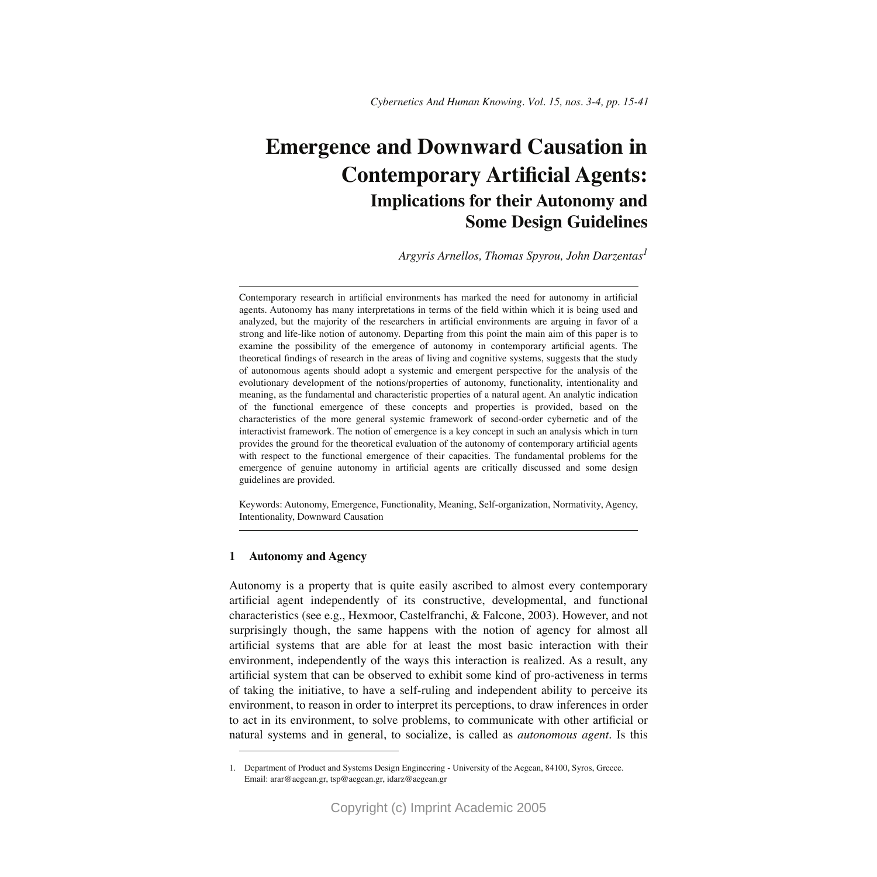# **Emergence and Downward Causation in Contemporary Artificial Agents: Implications for their Autonomy and Some Design Guidelines**

*Argyris Arnellos, Thomas Spyrou, John Darzentas<sup>1</sup>*

Contemporary research in artificial environments has marked the need for autonomy in artificial agents. Autonomy has many interpretations in terms of the field within which it is being used and analyzed, but the majority of the researchers in artificial environments are arguing in favor of a strong and life-like notion of autonomy. Departing from this point the main aim of this paper is to examine the possibility of the emergence of autonomy in contemporary artificial agents. The theoretical findings of research in the areas of living and cognitive systems, suggests that the study of autonomous agents should adopt a systemic and emergent perspective for the analysis of the evolutionary development of the notions/properties of autonomy, functionality, intentionality and meaning, as the fundamental and characteristic properties of a natural agent. An analytic indication of the functional emergence of these concepts and properties is provided, based on the characteristics of the more general systemic framework of second-order cybernetic and of the interactivist framework. The notion of emergence is a key concept in such an analysis which in turn provides the ground for the theoretical evaluation of the autonomy of contemporary artificial agents with respect to the functional emergence of their capacities. The fundamental problems for the emergence of genuine autonomy in artificial agents are critically discussed and some design guidelines are provided.

Keywords: Autonomy, Emergence, Functionality, Meaning, Self-organization, Normativity, Agency, Intentionality, Downward Causation

# **1 Autonomy and Agency**

Autonomy is a property that is quite easily ascribed to almost every contemporary artificial agent independently of its constructive, developmental, and functional characteristics (see e.g., Hexmoor, Castelfranchi, & Falcone, 2003). However, and not surprisingly though, the same happens with the notion of agency for almost all artificial systems that are able for at least the most basic interaction with their environment, independently of the ways this interaction is realized. As a result, any artificial system that can be observed to exhibit some kind of pro-activeness in terms of taking the initiative, to have a self-ruling and independent ability to perceive its environment, to reason in order to interpret its perceptions, to draw inferences in order to act in its environment, to solve problems, to communicate with other artificial or natural systems and in general, to socialize, is called as *autonomous agent*. Is this

<sup>1.</sup> Department of Product and Systems Design Engineering - University of the Aegean, 84100, Syros, Greece. Email: arar@aegean.gr, tsp@aegean.gr, idarz@aegean.gr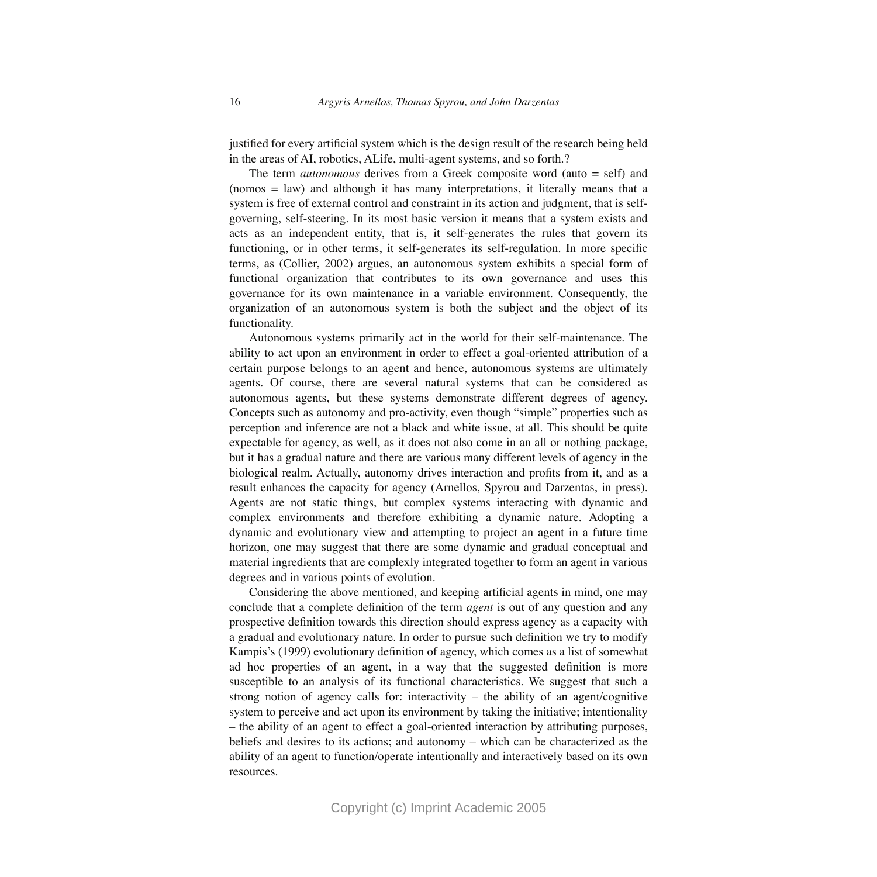justified for every artificial system which is the design result of the research being held in the areas of AI, robotics, ALife, multi-agent systems, and so forth.?

The term *autonomous* derives from a Greek composite word (auto = self) and (nomos = law) and although it has many interpretations, it literally means that a system is free of external control and constraint in its action and judgment, that is selfgoverning, self-steering. In its most basic version it means that a system exists and acts as an independent entity, that is, it self-generates the rules that govern its functioning, or in other terms, it self-generates its self-regulation. In more specific terms, as (Collier, 2002) argues, an autonomous system exhibits a special form of functional organization that contributes to its own governance and uses this governance for its own maintenance in a variable environment. Consequently, the organization of an autonomous system is both the subject and the object of its functionality.

Autonomous systems primarily act in the world for their self-maintenance. The ability to act upon an environment in order to effect a goal-oriented attribution of a certain purpose belongs to an agent and hence, autonomous systems are ultimately agents. Of course, there are several natural systems that can be considered as autonomous agents, but these systems demonstrate different degrees of agency. Concepts such as autonomy and pro-activity, even though "simple" properties such as perception and inference are not a black and white issue, at all. This should be quite expectable for agency, as well, as it does not also come in an all or nothing package, but it has a gradual nature and there are various many different levels of agency in the biological realm. Actually, autonomy drives interaction and profits from it, and as a result enhances the capacity for agency (Arnellos, Spyrou and Darzentas, in press). Agents are not static things, but complex systems interacting with dynamic and complex environments and therefore exhibiting a dynamic nature. Adopting a dynamic and evolutionary view and attempting to project an agent in a future time horizon, one may suggest that there are some dynamic and gradual conceptual and material ingredients that are complexly integrated together to form an agent in various degrees and in various points of evolution.

Considering the above mentioned, and keeping artificial agents in mind, one may conclude that a complete definition of the term *agent* is out of any question and any prospective definition towards this direction should express agency as a capacity with a gradual and evolutionary nature. In order to pursue such definition we try to modify Kampis's (1999) evolutionary definition of agency, which comes as a list of somewhat ad hoc properties of an agent, in a way that the suggested definition is more susceptible to an analysis of its functional characteristics. We suggest that such a strong notion of agency calls for: interactivity – the ability of an agent/cognitive system to perceive and act upon its environment by taking the initiative; intentionality – the ability of an agent to effect a goal-oriented interaction by attributing purposes, beliefs and desires to its actions; and autonomy – which can be characterized as the ability of an agent to function/operate intentionally and interactively based on its own resources.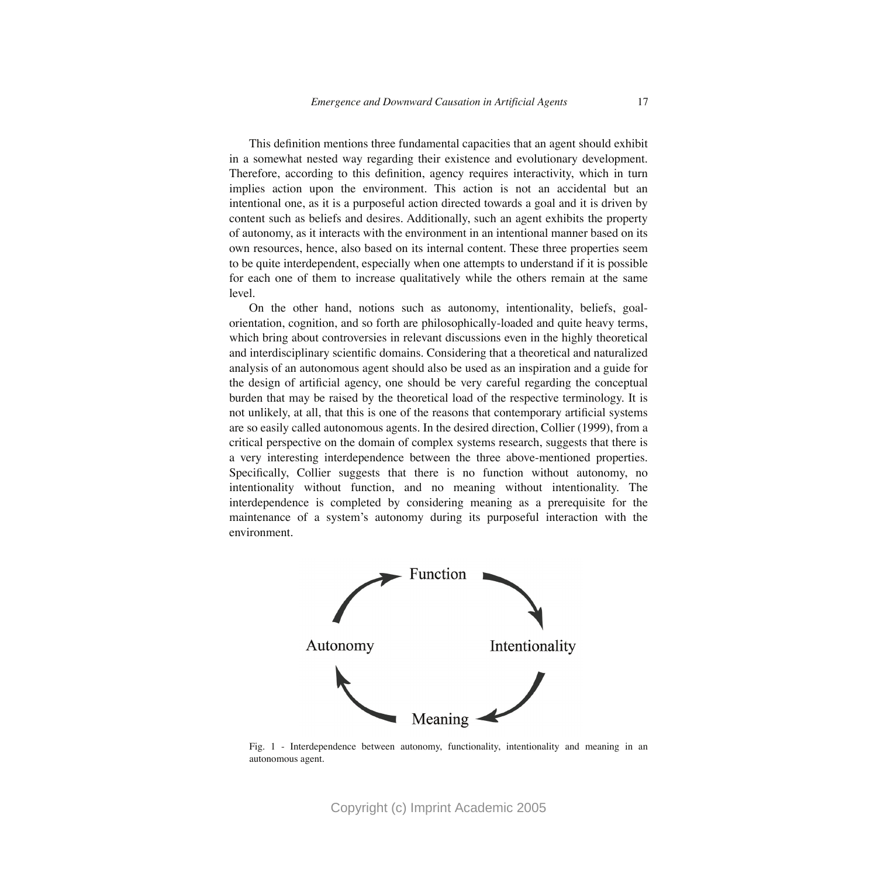This definition mentions three fundamental capacities that an agent should exhibit in a somewhat nested way regarding their existence and evolutionary development. Therefore, according to this definition, agency requires interactivity, which in turn implies action upon the environment. This action is not an accidental but an intentional one, as it is a purposeful action directed towards a goal and it is driven by content such as beliefs and desires. Additionally, such an agent exhibits the property of autonomy, as it interacts with the environment in an intentional manner based on its own resources, hence, also based on its internal content. These three properties seem to be quite interdependent, especially when one attempts to understand if it is possible for each one of them to increase qualitatively while the others remain at the same level.

On the other hand, notions such as autonomy, intentionality, beliefs, goalorientation, cognition, and so forth are philosophically-loaded and quite heavy terms, which bring about controversies in relevant discussions even in the highly theoretical and interdisciplinary scientific domains. Considering that a theoretical and naturalized analysis of an autonomous agent should also be used as an inspiration and a guide for the design of artificial agency, one should be very careful regarding the conceptual burden that may be raised by the theoretical load of the respective terminology. It is not unlikely, at all, that this is one of the reasons that contemporary artificial systems are so easily called autonomous agents. In the desired direction, Collier (1999), from a critical perspective on the domain of complex systems research, suggests that there is a very interesting interdependence between the three above-mentioned properties. Specifically, Collier suggests that there is no function without autonomy, no intentionality without function, and no meaning without intentionality. The interdependence is completed by considering meaning as a prerequisite for the maintenance of a system's autonomy during its purposeful interaction with the environment.



Fig. 1 - Interdependence between autonomy, functionality, intentionality and meaning in an autonomous agent.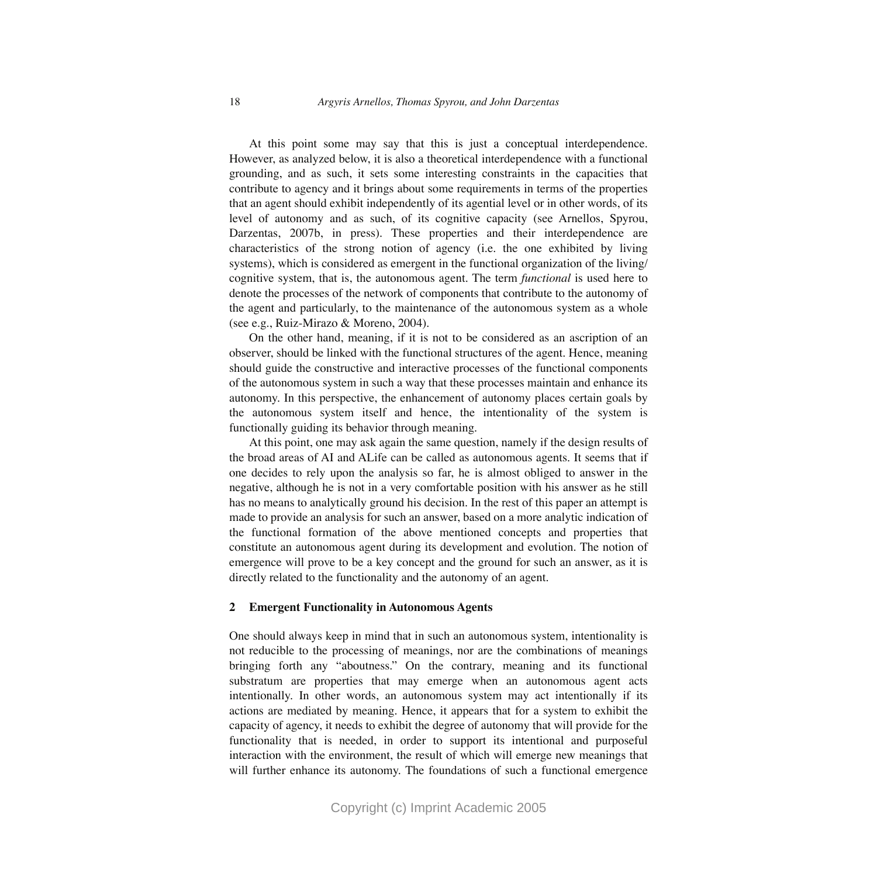At this point some may say that this is just a conceptual interdependence. However, as analyzed below, it is also a theoretical interdependence with a functional grounding, and as such, it sets some interesting constraints in the capacities that contribute to agency and it brings about some requirements in terms of the properties that an agent should exhibit independently of its agential level or in other words, of its level of autonomy and as such, of its cognitive capacity (see Arnellos, Spyrou, Darzentas, 2007b, in press). These properties and their interdependence are characteristics of the strong notion of agency (i.e. the one exhibited by living systems), which is considered as emergent in the functional organization of the living/ cognitive system, that is, the autonomous agent. The term *functional* is used here to denote the processes of the network of components that contribute to the autonomy of the agent and particularly, to the maintenance of the autonomous system as a whole (see e.g., Ruiz-Mirazo & Moreno, 2004).

On the other hand, meaning, if it is not to be considered as an ascription of an observer, should be linked with the functional structures of the agent. Hence, meaning should guide the constructive and interactive processes of the functional components of the autonomous system in such a way that these processes maintain and enhance its autonomy. In this perspective, the enhancement of autonomy places certain goals by the autonomous system itself and hence, the intentionality of the system is functionally guiding its behavior through meaning.

At this point, one may ask again the same question, namely if the design results of the broad areas of AI and ALife can be called as autonomous agents. It seems that if one decides to rely upon the analysis so far, he is almost obliged to answer in the negative, although he is not in a very comfortable position with his answer as he still has no means to analytically ground his decision. In the rest of this paper an attempt is made to provide an analysis for such an answer, based on a more analytic indication of the functional formation of the above mentioned concepts and properties that constitute an autonomous agent during its development and evolution. The notion of emergence will prove to be a key concept and the ground for such an answer, as it is directly related to the functionality and the autonomy of an agent.

## **2 Emergent Functionality in Autonomous Agents**

One should always keep in mind that in such an autonomous system, intentionality is not reducible to the processing of meanings, nor are the combinations of meanings bringing forth any "aboutness." On the contrary, meaning and its functional substratum are properties that may emerge when an autonomous agent acts intentionally. In other words, an autonomous system may act intentionally if its actions are mediated by meaning. Hence, it appears that for a system to exhibit the capacity of agency, it needs to exhibit the degree of autonomy that will provide for the functionality that is needed, in order to support its intentional and purposeful interaction with the environment, the result of which will emerge new meanings that will further enhance its autonomy. The foundations of such a functional emergence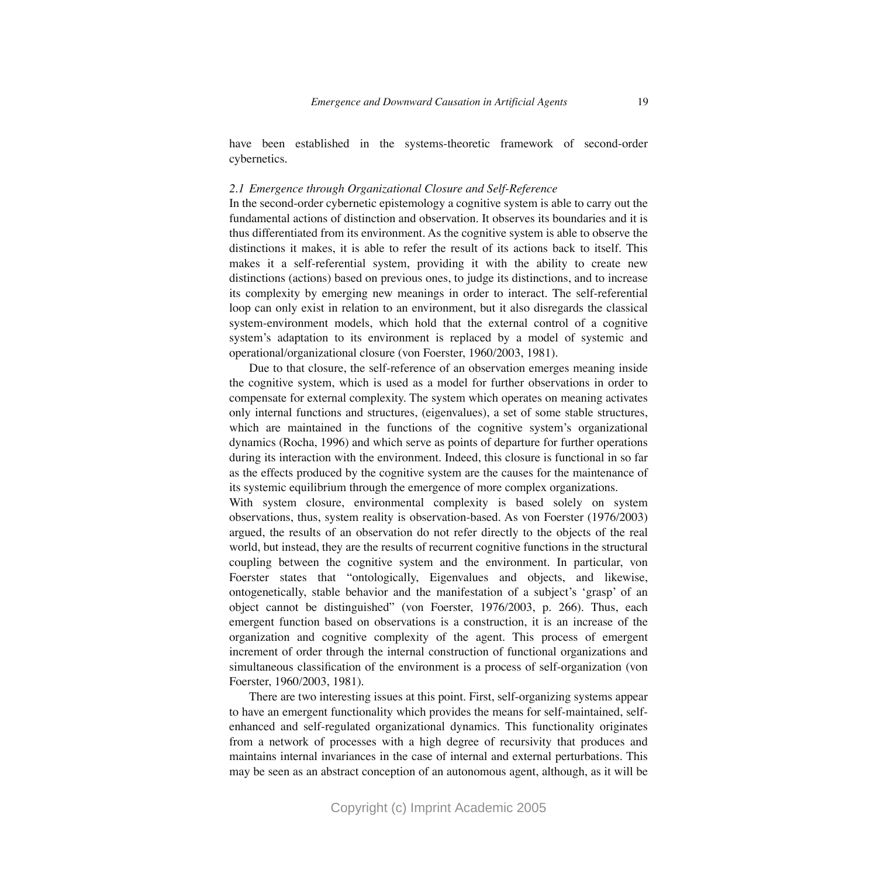have been established in the systems-theoretic framework of second-order cybernetics.

#### *2.1 Emergence through Organizational Closure and Self-Reference*

In the second-order cybernetic epistemology a cognitive system is able to carry out the fundamental actions of distinction and observation. It observes its boundaries and it is thus differentiated from its environment. As the cognitive system is able to observe the distinctions it makes, it is able to refer the result of its actions back to itself. This makes it a self-referential system, providing it with the ability to create new distinctions (actions) based on previous ones, to judge its distinctions, and to increase its complexity by emerging new meanings in order to interact. The self-referential loop can only exist in relation to an environment, but it also disregards the classical system-environment models, which hold that the external control of a cognitive system's adaptation to its environment is replaced by a model of systemic and operational/organizational closure (von Foerster, 1960/2003, 1981).

Due to that closure, the self-reference of an observation emerges meaning inside the cognitive system, which is used as a model for further observations in order to compensate for external complexity. The system which operates on meaning activates only internal functions and structures, (eigenvalues), a set of some stable structures, which are maintained in the functions of the cognitive system's organizational dynamics (Rocha, 1996) and which serve as points of departure for further operations during its interaction with the environment. Indeed, this closure is functional in so far as the effects produced by the cognitive system are the causes for the maintenance of its systemic equilibrium through the emergence of more complex organizations.

With system closure, environmental complexity is based solely on system observations, thus, system reality is observation-based. As von Foerster (1976/2003) argued, the results of an observation do not refer directly to the objects of the real world, but instead, they are the results of recurrent cognitive functions in the structural coupling between the cognitive system and the environment. In particular, von Foerster states that "ontologically, Eigenvalues and objects, and likewise, ontogenetically, stable behavior and the manifestation of a subject's 'grasp' of an object cannot be distinguished" (von Foerster, 1976/2003, p. 266). Thus, each emergent function based on observations is a construction, it is an increase of the organization and cognitive complexity of the agent. This process of emergent increment of order through the internal construction of functional organizations and simultaneous classification of the environment is a process of self-organization (von Foerster, 1960/2003, 1981).

There are two interesting issues at this point. First, self-organizing systems appear to have an emergent functionality which provides the means for self-maintained, selfenhanced and self-regulated organizational dynamics. This functionality originates from a network of processes with a high degree of recursivity that produces and maintains internal invariances in the case of internal and external perturbations. This may be seen as an abstract conception of an autonomous agent, although, as it will be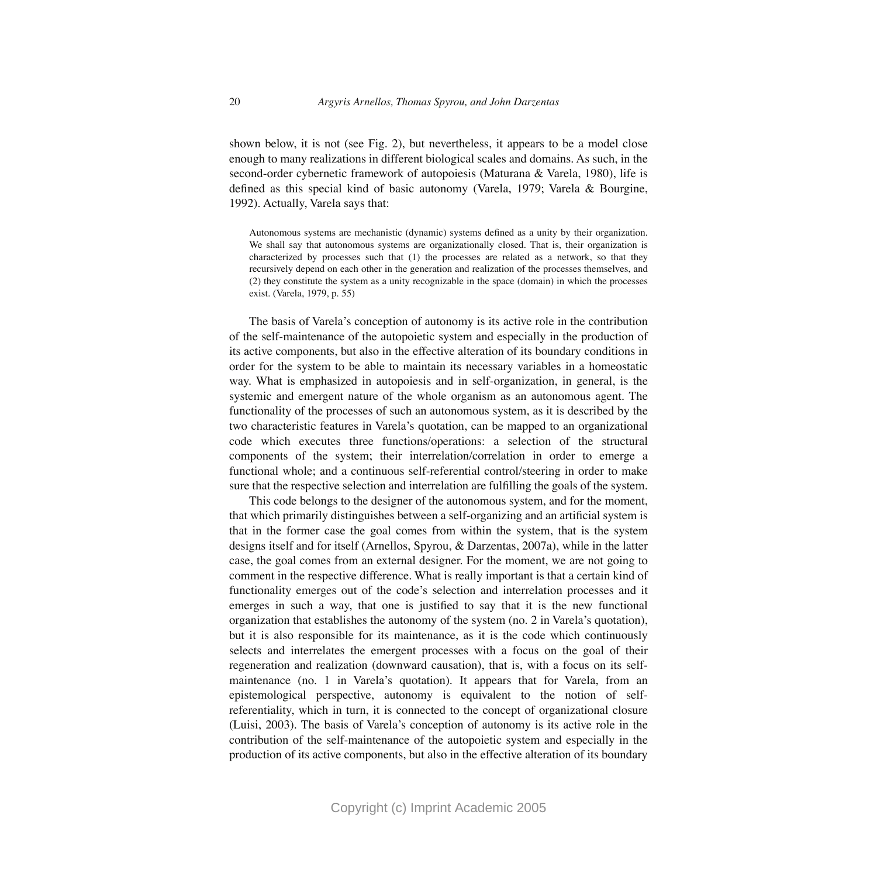shown below, it is not (see Fig. 2), but nevertheless, it appears to be a model close enough to many realizations in different biological scales and domains. As such, in the second-order cybernetic framework of autopoiesis (Maturana & Varela, 1980), life is defined as this special kind of basic autonomy (Varela, 1979; Varela & Bourgine, 1992). Actually, Varela says that:

Autonomous systems are mechanistic (dynamic) systems defined as a unity by their organization. We shall say that autonomous systems are organizationally closed. That is, their organization is characterized by processes such that (1) the processes are related as a network, so that they recursively depend on each other in the generation and realization of the processes themselves, and (2) they constitute the system as a unity recognizable in the space (domain) in which the processes exist. (Varela, 1979, p. 55)

The basis of Varela's conception of autonomy is its active role in the contribution of the self-maintenance of the autopoietic system and especially in the production of its active components, but also in the effective alteration of its boundary conditions in order for the system to be able to maintain its necessary variables in a homeostatic way. What is emphasized in autopoiesis and in self-organization, in general, is the systemic and emergent nature of the whole organism as an autonomous agent. The functionality of the processes of such an autonomous system, as it is described by the two characteristic features in Varela's quotation, can be mapped to an organizational code which executes three functions/operations: a selection of the structural components of the system; their interrelation/correlation in order to emerge a functional whole; and a continuous self-referential control/steering in order to make sure that the respective selection and interrelation are fulfilling the goals of the system.

This code belongs to the designer of the autonomous system, and for the moment, that which primarily distinguishes between a self-organizing and an artificial system is that in the former case the goal comes from within the system, that is the system designs itself and for itself (Arnellos, Spyrou, & Darzentas, 2007a), while in the latter case, the goal comes from an external designer. For the moment, we are not going to comment in the respective difference. What is really important is that a certain kind of functionality emerges out of the code's selection and interrelation processes and it emerges in such a way, that one is justified to say that it is the new functional organization that establishes the autonomy of the system (no. 2 in Varela's quotation), but it is also responsible for its maintenance, as it is the code which continuously selects and interrelates the emergent processes with a focus on the goal of their regeneration and realization (downward causation), that is, with a focus on its selfmaintenance (no. 1 in Varela's quotation). It appears that for Varela, from an epistemological perspective, autonomy is equivalent to the notion of selfreferentiality, which in turn, it is connected to the concept of organizational closure (Luisi, 2003). The basis of Varela's conception of autonomy is its active role in the contribution of the self-maintenance of the autopoietic system and especially in the production of its active components, but also in the effective alteration of its boundary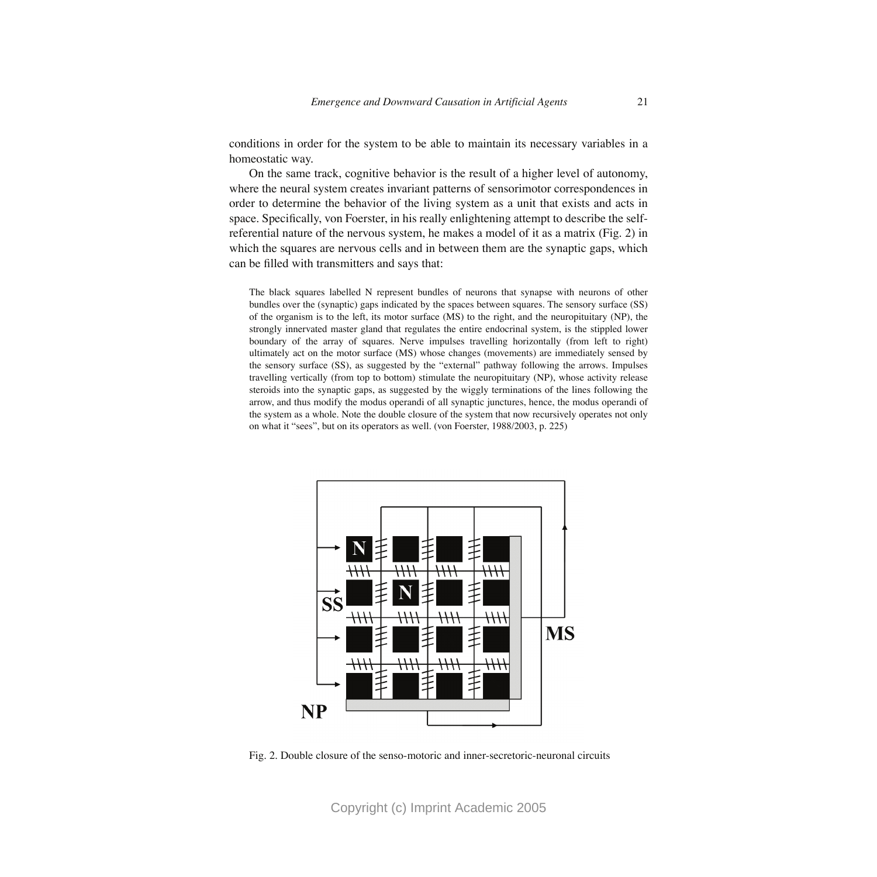conditions in order for the system to be able to maintain its necessary variables in a homeostatic way.

On the same track, cognitive behavior is the result of a higher level of autonomy, where the neural system creates invariant patterns of sensorimotor correspondences in order to determine the behavior of the living system as a unit that exists and acts in space. Specifically, von Foerster, in his really enlightening attempt to describe the selfreferential nature of the nervous system, he makes a model of it as a matrix (Fig. 2) in which the squares are nervous cells and in between them are the synaptic gaps, which can be filled with transmitters and says that:

The black squares labelled N represent bundles of neurons that synapse with neurons of other bundles over the (synaptic) gaps indicated by the spaces between squares. The sensory surface (SS) of the organism is to the left, its motor surface (MS) to the right, and the neuropituitary (NP), the strongly innervated master gland that regulates the entire endocrinal system, is the stippled lower boundary of the array of squares. Nerve impulses travelling horizontally (from left to right) ultimately act on the motor surface (MS) whose changes (movements) are immediately sensed by the sensory surface (SS), as suggested by the "external" pathway following the arrows. Impulses travelling vertically (from top to bottom) stimulate the neuropituitary (NP), whose activity release steroids into the synaptic gaps, as suggested by the wiggly terminations of the lines following the arrow, and thus modify the modus operandi of all synaptic junctures, hence, the modus operandi of the system as a whole. Note the double closure of the system that now recursively operates not only on what it "sees", but on its operators as well. (von Foerster, 1988/2003, p. 225)



Fig. 2. Double closure of the senso-motoric and inner-secretoric-neuronal circuits

Copyright (c) Imprint Academic 2005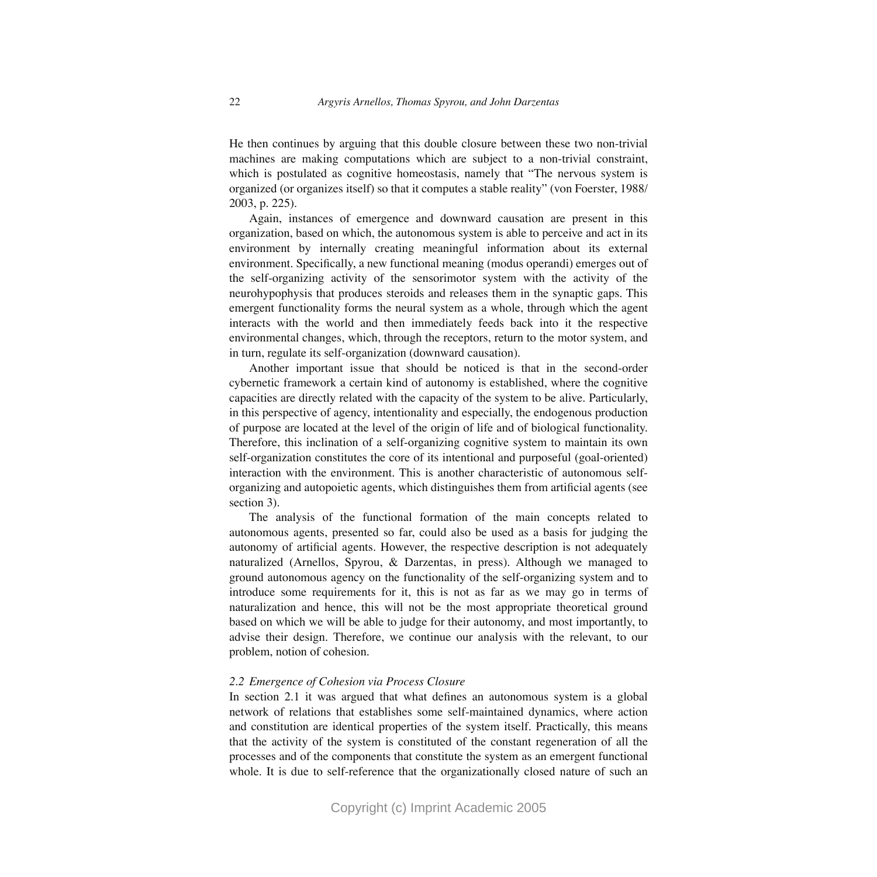He then continues by arguing that this double closure between these two non-trivial machines are making computations which are subject to a non-trivial constraint, which is postulated as cognitive homeostasis, namely that "The nervous system is organized (or organizes itself) so that it computes a stable reality" (von Foerster, 1988/ 2003, p. 225).

Again, instances of emergence and downward causation are present in this organization, based on which, the autonomous system is able to perceive and act in its environment by internally creating meaningful information about its external environment. Specifically, a new functional meaning (modus operandi) emerges out of the self-organizing activity of the sensorimotor system with the activity of the neurohypophysis that produces steroids and releases them in the synaptic gaps. This emergent functionality forms the neural system as a whole, through which the agent interacts with the world and then immediately feeds back into it the respective environmental changes, which, through the receptors, return to the motor system, and in turn, regulate its self-organization (downward causation).

Another important issue that should be noticed is that in the second-order cybernetic framework a certain kind of autonomy is established, where the cognitive capacities are directly related with the capacity of the system to be alive. Particularly, in this perspective of agency, intentionality and especially, the endogenous production of purpose are located at the level of the origin of life and of biological functionality. Therefore, this inclination of a self-organizing cognitive system to maintain its own self-organization constitutes the core of its intentional and purposeful (goal-oriented) interaction with the environment. This is another characteristic of autonomous selforganizing and autopoietic agents, which distinguishes them from artificial agents (see section 3).

The analysis of the functional formation of the main concepts related to autonomous agents, presented so far, could also be used as a basis for judging the autonomy of artificial agents. However, the respective description is not adequately naturalized (Arnellos, Spyrou, & Darzentas, in press). Although we managed to ground autonomous agency on the functionality of the self-organizing system and to introduce some requirements for it, this is not as far as we may go in terms of naturalization and hence, this will not be the most appropriate theoretical ground based on which we will be able to judge for their autonomy, and most importantly, to advise their design. Therefore, we continue our analysis with the relevant, to our problem, notion of cohesion.

## *2.2 Emergence of Cohesion via Process Closure*

In section 2.1 it was argued that what defines an autonomous system is a global network of relations that establishes some self-maintained dynamics, where action and constitution are identical properties of the system itself. Practically, this means that the activity of the system is constituted of the constant regeneration of all the processes and of the components that constitute the system as an emergent functional whole. It is due to self-reference that the organizationally closed nature of such an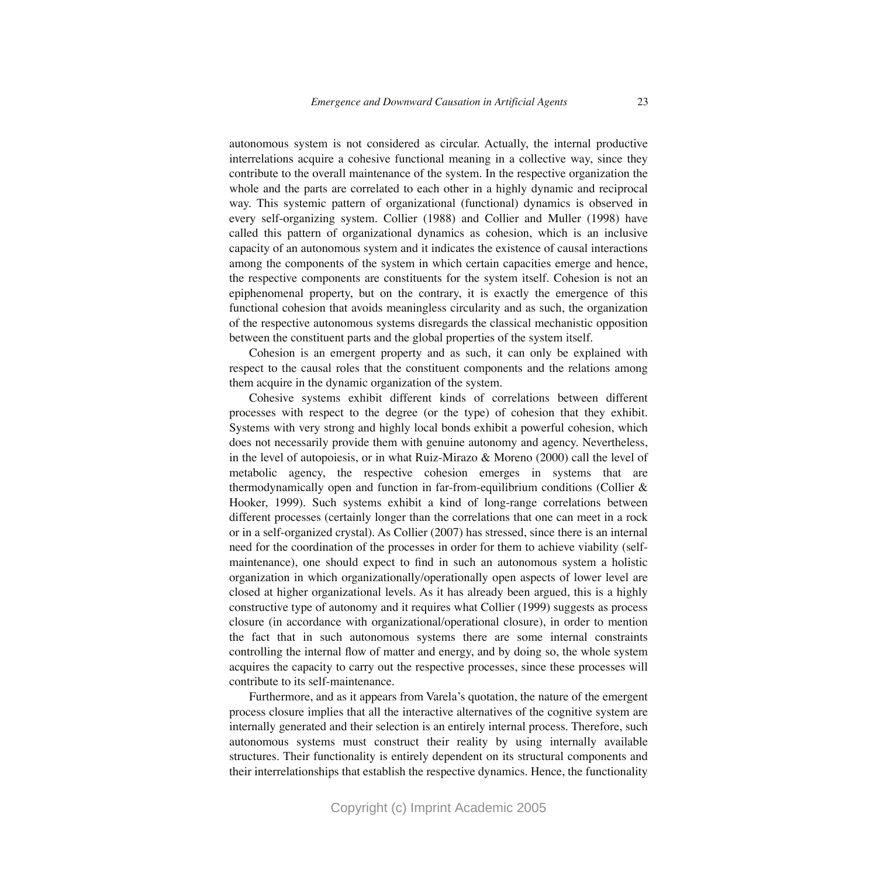autonomous system is not considered as circular. Actually, the internal productive interrelations acquire a cohesive functional meaning in a collective way, since they contribute to the overall maintenance of the system. In the respective organization the whole and the parts are correlated to each other in a highly dynamic and reciprocal way. This systemic pattern of organizational (functional) dynamics is observed in every self-organizing system. Collier (1988) and Collier and Muller (1998) have called this pattern of organizational dynamics as cohesion, which is an inclusive capacity of an autonomous system and it indicates the existence of causal interactions among the components of the system in which certain capacities emerge and hence, the respective components are constituents for the system itself. Cohesion is not an epiphenomenal property, but on the contrary, it is exactly the emergence of this functional cohesion that avoids meaningless circularity and as such, the organization of the respective autonomous systems disregards the classical mechanistic opposition between the constituent parts and the global properties of the system itself.

Cohesion is an emergent property and as such, it can only be explained with respect to the causal roles that the constituent components and the relations among them acquire in the dynamic organization of the system.

Cohesive systems exhibit different kinds of correlations between different processes with respect to the degree (or the type) of cohesion that they exhibit. Systems with very strong and highly local bonds exhibit a powerful cohesion, which does not necessarily provide them with genuine autonomy and agency. Nevertheless, in the level of autopoiesis, or in what Ruiz-Mirazo  $\&$  Moreno (2000) call the level of metabolic agency, the respective cohesion emerges in systems that are thermodynamically open and function in far-from-equilibrium conditions (Collier & Hooker, 1999). Such systems exhibit a kind of long-range correlations between different processes (certainly longer than the correlations that one can meet in a rock or in a self-organized crystal). As Collier (2007) has stressed, since there is an internal need for the coordination of the processes in order for them to achieve viability (selfmaintenance), one should expect to find in such an autonomous system a holistic organization in which organizationally/operationally open aspects of lower level are closed at higher organizational levels. As it has already been argued, this is a highly constructive type of autonomy and it requires what Collier (1999) suggests as process closure (in accordance with organizational/operational closure), in order to mention the fact that in such autonomous systems there are some internal constraints controlling the internal flow of matter and energy, and by doing so, the whole system acquires the capacity to carry out the respective processes, since these processes will contribute to its self-maintenance.

Furthermore, and as it appears from Varela's quotation, the nature of the emergent process closure implies that all the interactive alternatives of the cognitive system are internally generated and their selection is an entirely internal process. Therefore, such autonomous systems must construct their reality by using internally available structures. Their functionality is entirely dependent on its structural components and their interrelationships that establish the respective dynamics. Hence, the functionality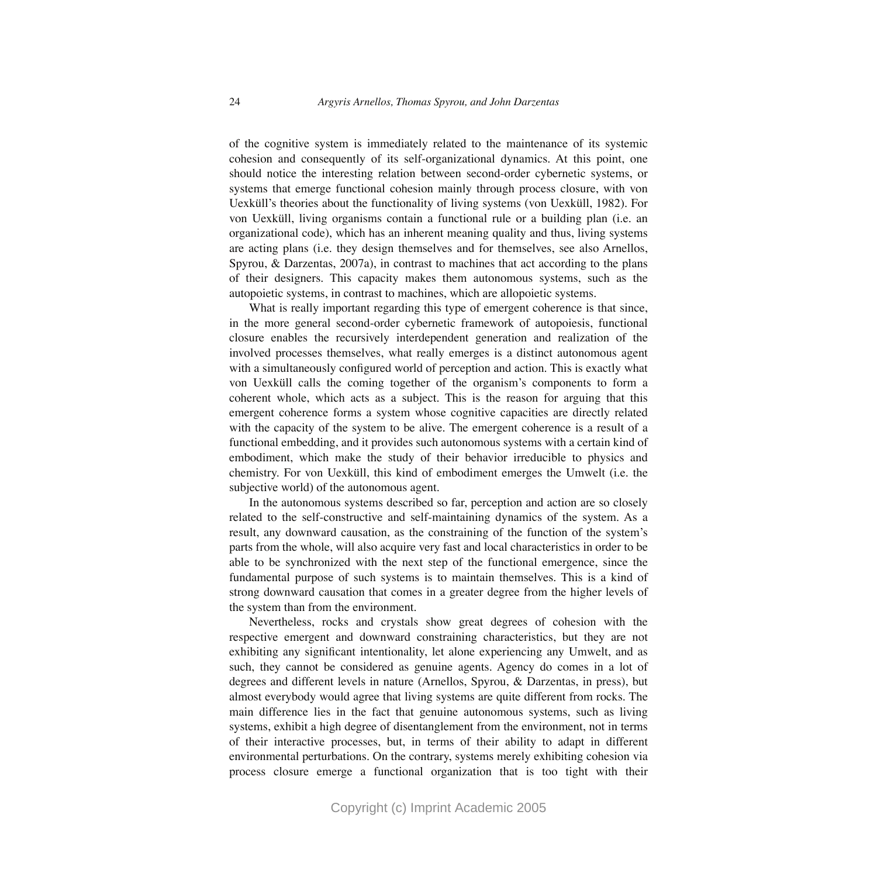of the cognitive system is immediately related to the maintenance of its systemic cohesion and consequently of its self-organizational dynamics. At this point, one should notice the interesting relation between second-order cybernetic systems, or systems that emerge functional cohesion mainly through process closure, with von Uexküll's theories about the functionality of living systems (von Uexküll, 1982). For von Uexküll, living organisms contain a functional rule or a building plan (i.e. an organizational code), which has an inherent meaning quality and thus, living systems are acting plans (i.e. they design themselves and for themselves, see also Arnellos, Spyrou, & Darzentas, 2007a), in contrast to machines that act according to the plans of their designers. This capacity makes them autonomous systems, such as the autopoietic systems, in contrast to machines, which are allopoietic systems.

What is really important regarding this type of emergent coherence is that since, in the more general second-order cybernetic framework of autopoiesis, functional closure enables the recursively interdependent generation and realization of the involved processes themselves, what really emerges is a distinct autonomous agent with a simultaneously configured world of perception and action. This is exactly what von Uexküll calls the coming together of the organism's components to form a coherent whole, which acts as a subject. This is the reason for arguing that this emergent coherence forms a system whose cognitive capacities are directly related with the capacity of the system to be alive. The emergent coherence is a result of a functional embedding, and it provides such autonomous systems with a certain kind of embodiment, which make the study of their behavior irreducible to physics and chemistry. For von Uexküll, this kind of embodiment emerges the Umwelt (i.e. the subjective world) of the autonomous agent.

In the autonomous systems described so far, perception and action are so closely related to the self-constructive and self-maintaining dynamics of the system. As a result, any downward causation, as the constraining of the function of the system's parts from the whole, will also acquire very fast and local characteristics in order to be able to be synchronized with the next step of the functional emergence, since the fundamental purpose of such systems is to maintain themselves. This is a kind of strong downward causation that comes in a greater degree from the higher levels of the system than from the environment.

Nevertheless, rocks and crystals show great degrees of cohesion with the respective emergent and downward constraining characteristics, but they are not exhibiting any significant intentionality, let alone experiencing any Umwelt, and as such, they cannot be considered as genuine agents. Agency do comes in a lot of degrees and different levels in nature (Arnellos, Spyrou, & Darzentas, in press), but almost everybody would agree that living systems are quite different from rocks. The main difference lies in the fact that genuine autonomous systems, such as living systems, exhibit a high degree of disentanglement from the environment, not in terms of their interactive processes, but, in terms of their ability to adapt in different environmental perturbations. On the contrary, systems merely exhibiting cohesion via process closure emerge a functional organization that is too tight with their

Copyright (c) Imprint Academic 2005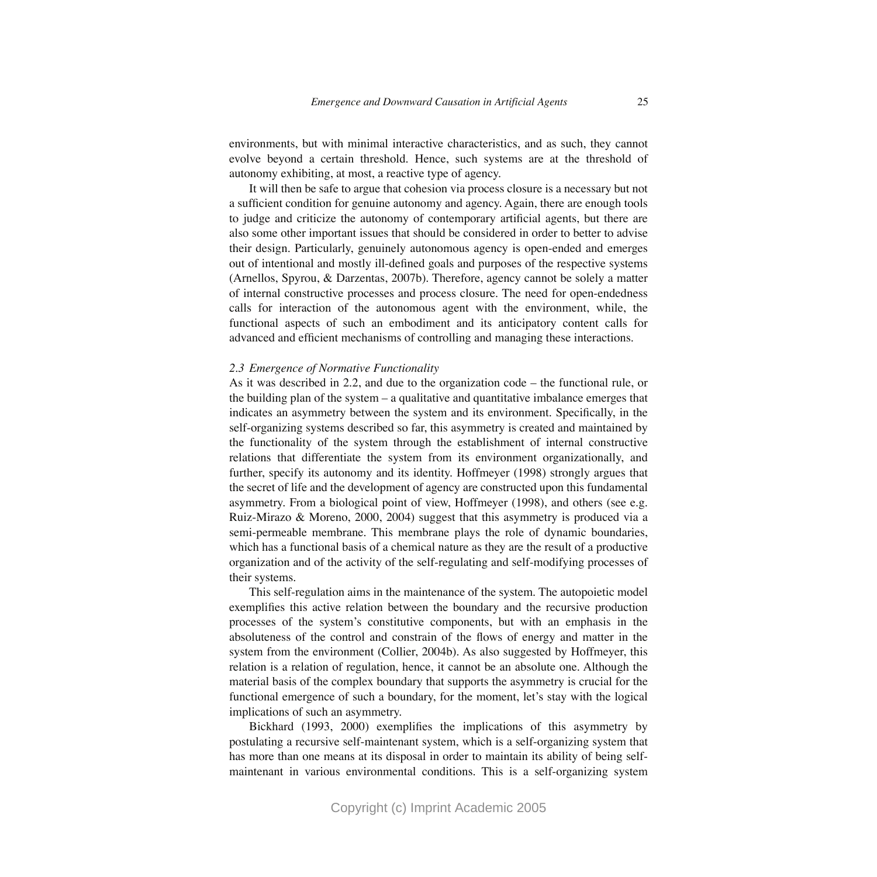environments, but with minimal interactive characteristics, and as such, they cannot evolve beyond a certain threshold. Hence, such systems are at the threshold of autonomy exhibiting, at most, a reactive type of agency.

It will then be safe to argue that cohesion via process closure is a necessary but not a sufficient condition for genuine autonomy and agency. Again, there are enough tools to judge and criticize the autonomy of contemporary artificial agents, but there are also some other important issues that should be considered in order to better to advise their design. Particularly, genuinely autonomous agency is open-ended and emerges out of intentional and mostly ill-defined goals and purposes of the respective systems (Arnellos, Spyrou, & Darzentas, 2007b). Therefore, agency cannot be solely a matter of internal constructive processes and process closure. The need for open-endedness calls for interaction of the autonomous agent with the environment, while, the functional aspects of such an embodiment and its anticipatory content calls for advanced and efficient mechanisms of controlling and managing these interactions.

#### *2.3 Emergence of Normative Functionality*

As it was described in 2.2, and due to the organization code – the functional rule, or the building plan of the system – a qualitative and quantitative imbalance emerges that indicates an asymmetry between the system and its environment. Specifically, in the self-organizing systems described so far, this asymmetry is created and maintained by the functionality of the system through the establishment of internal constructive relations that differentiate the system from its environment organizationally, and further, specify its autonomy and its identity. Hoffmeyer (1998) strongly argues that the secret of life and the development of agency are constructed upon this fundamental asymmetry. From a biological point of view, Hoffmeyer (1998), and others (see e.g. Ruiz-Mirazo & Moreno, 2000, 2004) suggest that this asymmetry is produced via a semi-permeable membrane. This membrane plays the role of dynamic boundaries, which has a functional basis of a chemical nature as they are the result of a productive organization and of the activity of the self-regulating and self-modifying processes of their systems.

This self-regulation aims in the maintenance of the system. The autopoietic model exemplifies this active relation between the boundary and the recursive production processes of the system's constitutive components, but with an emphasis in the absoluteness of the control and constrain of the flows of energy and matter in the system from the environment (Collier, 2004b). As also suggested by Hoffmeyer, this relation is a relation of regulation, hence, it cannot be an absolute one. Although the material basis of the complex boundary that supports the asymmetry is crucial for the functional emergence of such a boundary, for the moment, let's stay with the logical implications of such an asymmetry.

Bickhard (1993, 2000) exemplifies the implications of this asymmetry by postulating a recursive self-maintenant system, which is a self-organizing system that has more than one means at its disposal in order to maintain its ability of being selfmaintenant in various environmental conditions. This is a self-organizing system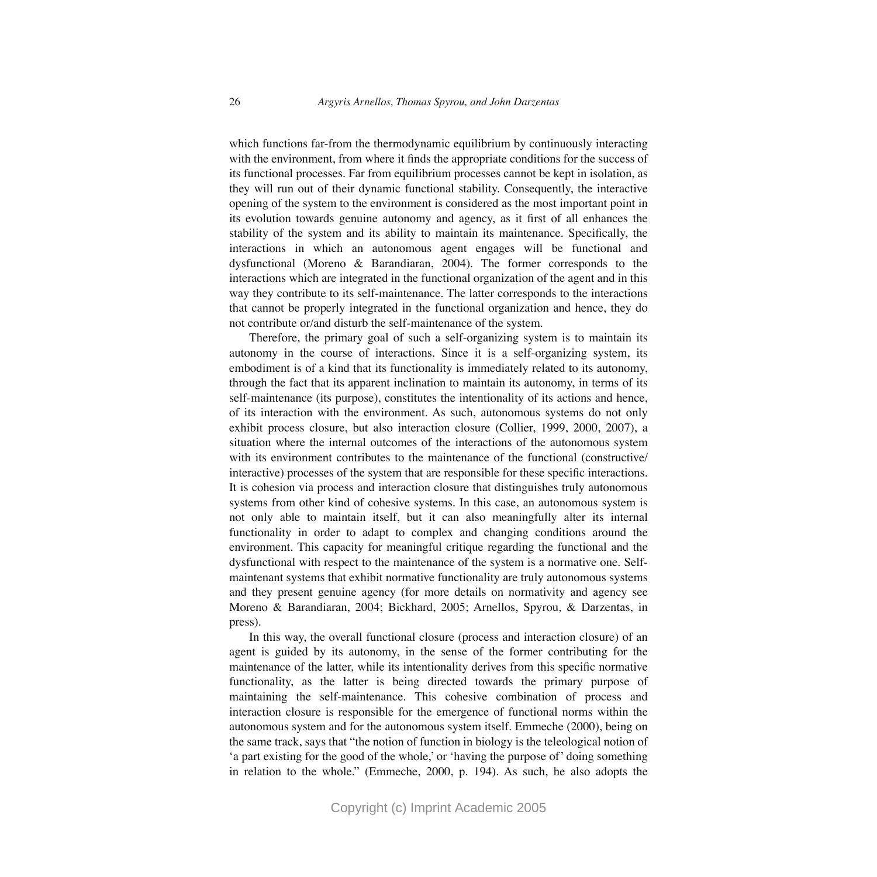which functions far-from the thermodynamic equilibrium by continuously interacting with the environment, from where it finds the appropriate conditions for the success of its functional processes. Far from equilibrium processes cannot be kept in isolation, as they will run out of their dynamic functional stability. Consequently, the interactive opening of the system to the environment is considered as the most important point in its evolution towards genuine autonomy and agency, as it first of all enhances the stability of the system and its ability to maintain its maintenance. Specifically, the interactions in which an autonomous agent engages will be functional and dysfunctional (Moreno & Barandiaran, 2004). The former corresponds to the interactions which are integrated in the functional organization of the agent and in this way they contribute to its self-maintenance. The latter corresponds to the interactions that cannot be properly integrated in the functional organization and hence, they do not contribute or/and disturb the self-maintenance of the system.

Therefore, the primary goal of such a self-organizing system is to maintain its autonomy in the course of interactions. Since it is a self-organizing system, its embodiment is of a kind that its functionality is immediately related to its autonomy, through the fact that its apparent inclination to maintain its autonomy, in terms of its self-maintenance (its purpose), constitutes the intentionality of its actions and hence, of its interaction with the environment. As such, autonomous systems do not only exhibit process closure, but also interaction closure (Collier, 1999, 2000, 2007), a situation where the internal outcomes of the interactions of the autonomous system with its environment contributes to the maintenance of the functional (constructive/ interactive) processes of the system that are responsible for these specific interactions. It is cohesion via process and interaction closure that distinguishes truly autonomous systems from other kind of cohesive systems. In this case, an autonomous system is not only able to maintain itself, but it can also meaningfully alter its internal functionality in order to adapt to complex and changing conditions around the environment. This capacity for meaningful critique regarding the functional and the dysfunctional with respect to the maintenance of the system is a normative one. Selfmaintenant systems that exhibit normative functionality are truly autonomous systems and they present genuine agency (for more details on normativity and agency see Moreno & Barandiaran, 2004; Bickhard, 2005; Arnellos, Spyrou, & Darzentas, in press).

In this way, the overall functional closure (process and interaction closure) of an agent is guided by its autonomy, in the sense of the former contributing for the maintenance of the latter, while its intentionality derives from this specific normative functionality, as the latter is being directed towards the primary purpose of maintaining the self-maintenance. This cohesive combination of process and interaction closure is responsible for the emergence of functional norms within the autonomous system and for the autonomous system itself. Emmeche (2000), being on the same track, says that "the notion of function in biology is the teleological notion of 'a part existing for the good of the whole,' or 'having the purpose of' doing something in relation to the whole." (Emmeche, 2000, p. 194). As such, he also adopts the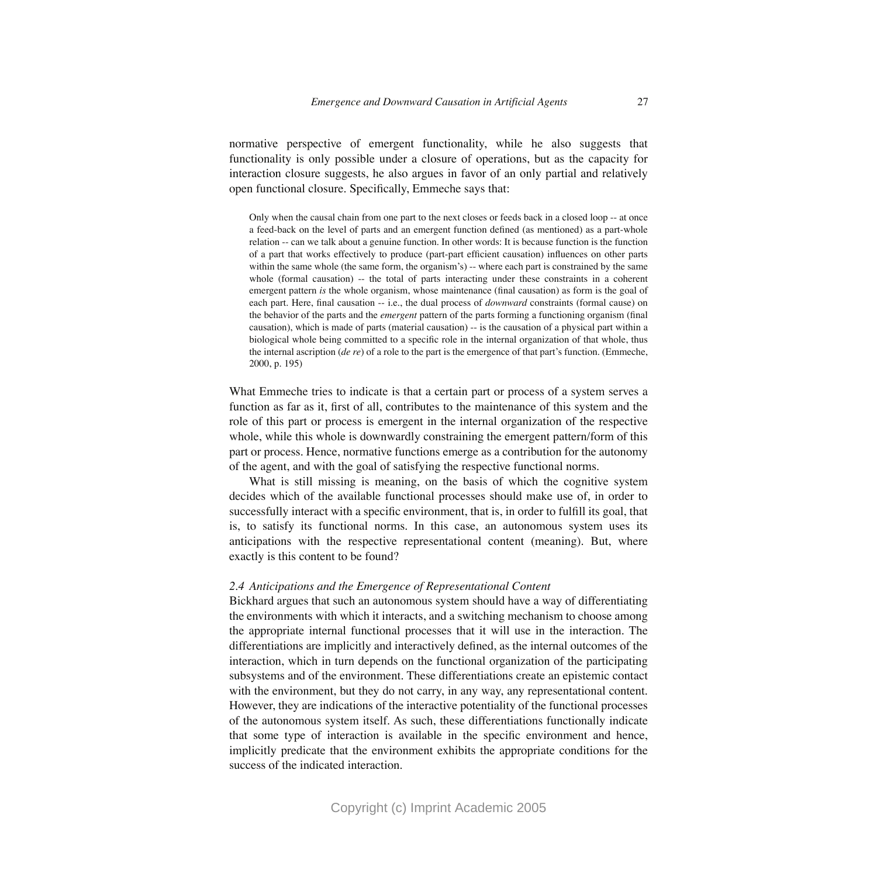normative perspective of emergent functionality, while he also suggests that functionality is only possible under a closure of operations, but as the capacity for interaction closure suggests, he also argues in favor of an only partial and relatively open functional closure. Specifically, Emmeche says that:

Only when the causal chain from one part to the next closes or feeds back in a closed loop -- at once a feed-back on the level of parts and an emergent function defined (as mentioned) as a part-whole relation -- can we talk about a genuine function. In other words: It is because function is the function of a part that works effectively to produce (part-part efficient causation) influences on other parts within the same whole (the same form, the organism's) -- where each part is constrained by the same whole (formal causation) -- the total of parts interacting under these constraints in a coherent emergent pattern *is* the whole organism, whose maintenance (final causation) as form is the goal of each part. Here, final causation -- i.e., the dual process of *downward* constraints (formal cause) on the behavior of the parts and the *emergent* pattern of the parts forming a functioning organism (final causation), which is made of parts (material causation) -- is the causation of a physical part within a biological whole being committed to a specific role in the internal organization of that whole, thus the internal ascription (*de re*) of a role to the part is the emergence of that part's function. (Emmeche, 2000, p. 195)

What Emmeche tries to indicate is that a certain part or process of a system serves a function as far as it, first of all, contributes to the maintenance of this system and the role of this part or process is emergent in the internal organization of the respective whole, while this whole is downwardly constraining the emergent pattern/form of this part or process. Hence, normative functions emerge as a contribution for the autonomy of the agent, and with the goal of satisfying the respective functional norms.

What is still missing is meaning, on the basis of which the cognitive system decides which of the available functional processes should make use of, in order to successfully interact with a specific environment, that is, in order to fulfill its goal, that is, to satisfy its functional norms. In this case, an autonomous system uses its anticipations with the respective representational content (meaning). But, where exactly is this content to be found?

#### *2.4 Anticipations and the Emergence of Representational Content*

Bickhard argues that such an autonomous system should have a way of differentiating the environments with which it interacts, and a switching mechanism to choose among the appropriate internal functional processes that it will use in the interaction. The differentiations are implicitly and interactively defined, as the internal outcomes of the interaction, which in turn depends on the functional organization of the participating subsystems and of the environment. These differentiations create an epistemic contact with the environment, but they do not carry, in any way, any representational content. However, they are indications of the interactive potentiality of the functional processes of the autonomous system itself. As such, these differentiations functionally indicate that some type of interaction is available in the specific environment and hence, implicitly predicate that the environment exhibits the appropriate conditions for the success of the indicated interaction.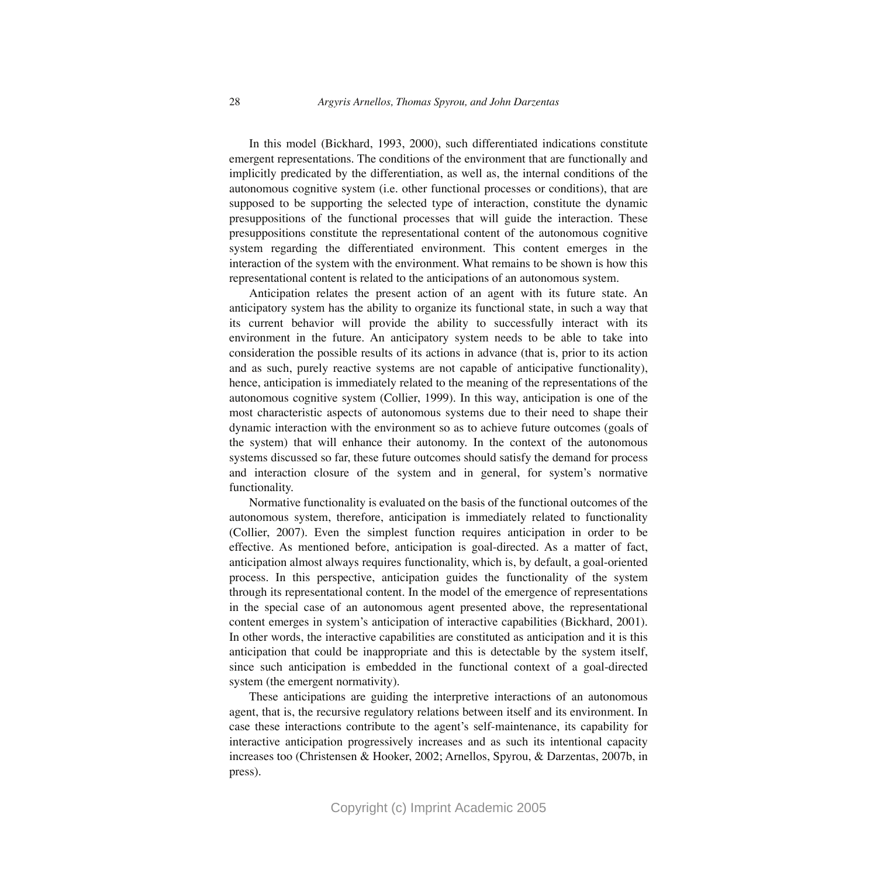In this model (Bickhard, 1993, 2000), such differentiated indications constitute emergent representations. The conditions of the environment that are functionally and implicitly predicated by the differentiation, as well as, the internal conditions of the autonomous cognitive system (i.e. other functional processes or conditions), that are supposed to be supporting the selected type of interaction, constitute the dynamic presuppositions of the functional processes that will guide the interaction. These presuppositions constitute the representational content of the autonomous cognitive system regarding the differentiated environment. This content emerges in the interaction of the system with the environment. What remains to be shown is how this representational content is related to the anticipations of an autonomous system.

Anticipation relates the present action of an agent with its future state. An anticipatory system has the ability to organize its functional state, in such a way that its current behavior will provide the ability to successfully interact with its environment in the future. An anticipatory system needs to be able to take into consideration the possible results of its actions in advance (that is, prior to its action and as such, purely reactive systems are not capable of anticipative functionality), hence, anticipation is immediately related to the meaning of the representations of the autonomous cognitive system (Collier, 1999). In this way, anticipation is one of the most characteristic aspects of autonomous systems due to their need to shape their dynamic interaction with the environment so as to achieve future outcomes (goals of the system) that will enhance their autonomy. In the context of the autonomous systems discussed so far, these future outcomes should satisfy the demand for process and interaction closure of the system and in general, for system's normative functionality.

Normative functionality is evaluated on the basis of the functional outcomes of the autonomous system, therefore, anticipation is immediately related to functionality (Collier, 2007). Even the simplest function requires anticipation in order to be effective. As mentioned before, anticipation is goal-directed. As a matter of fact, anticipation almost always requires functionality, which is, by default, a goal-oriented process. In this perspective, anticipation guides the functionality of the system through its representational content. In the model of the emergence of representations in the special case of an autonomous agent presented above, the representational content emerges in system's anticipation of interactive capabilities (Bickhard, 2001). In other words, the interactive capabilities are constituted as anticipation and it is this anticipation that could be inappropriate and this is detectable by the system itself, since such anticipation is embedded in the functional context of a goal-directed system (the emergent normativity).

These anticipations are guiding the interpretive interactions of an autonomous agent, that is, the recursive regulatory relations between itself and its environment. In case these interactions contribute to the agent's self-maintenance, its capability for interactive anticipation progressively increases and as such its intentional capacity increases too (Christensen & Hooker, 2002; Arnellos, Spyrou, & Darzentas, 2007b, in press).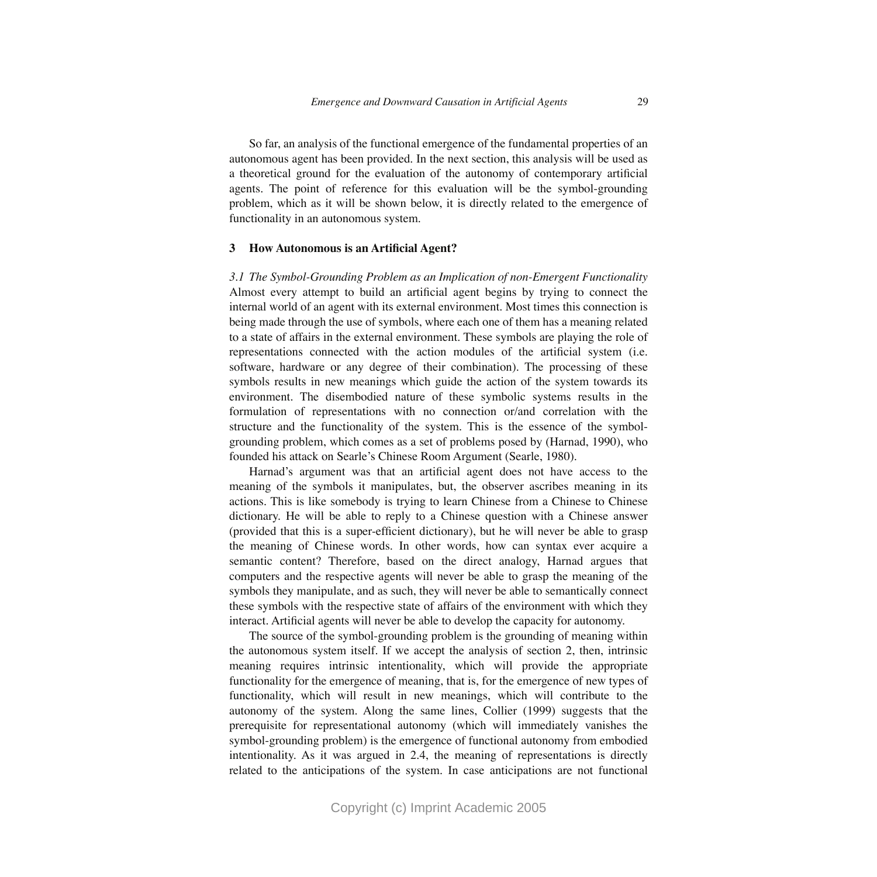So far, an analysis of the functional emergence of the fundamental properties of an autonomous agent has been provided. In the next section, this analysis will be used as a theoretical ground for the evaluation of the autonomy of contemporary artificial agents. The point of reference for this evaluation will be the symbol-grounding problem, which as it will be shown below, it is directly related to the emergence of functionality in an autonomous system.

#### **3 How Autonomous is an Artificial Agent?**

*3.1 The Symbol-Grounding Problem as an Implication of non-Emergent Functionality* Almost every attempt to build an artificial agent begins by trying to connect the internal world of an agent with its external environment. Most times this connection is being made through the use of symbols, where each one of them has a meaning related to a state of affairs in the external environment. These symbols are playing the role of representations connected with the action modules of the artificial system (i.e. software, hardware or any degree of their combination). The processing of these symbols results in new meanings which guide the action of the system towards its environment. The disembodied nature of these symbolic systems results in the formulation of representations with no connection or/and correlation with the structure and the functionality of the system. This is the essence of the symbolgrounding problem, which comes as a set of problems posed by (Harnad, 1990), who founded his attack on Searle's Chinese Room Argument (Searle, 1980).

Harnad's argument was that an artificial agent does not have access to the meaning of the symbols it manipulates, but, the observer ascribes meaning in its actions. This is like somebody is trying to learn Chinese from a Chinese to Chinese dictionary. He will be able to reply to a Chinese question with a Chinese answer (provided that this is a super-efficient dictionary), but he will never be able to grasp the meaning of Chinese words. In other words, how can syntax ever acquire a semantic content? Therefore, based on the direct analogy, Harnad argues that computers and the respective agents will never be able to grasp the meaning of the symbols they manipulate, and as such, they will never be able to semantically connect these symbols with the respective state of affairs of the environment with which they interact. Artificial agents will never be able to develop the capacity for autonomy.

The source of the symbol-grounding problem is the grounding of meaning within the autonomous system itself. If we accept the analysis of section 2, then, intrinsic meaning requires intrinsic intentionality, which will provide the appropriate functionality for the emergence of meaning, that is, for the emergence of new types of functionality, which will result in new meanings, which will contribute to the autonomy of the system. Along the same lines, Collier (1999) suggests that the prerequisite for representational autonomy (which will immediately vanishes the symbol-grounding problem) is the emergence of functional autonomy from embodied intentionality. As it was argued in 2.4, the meaning of representations is directly related to the anticipations of the system. In case anticipations are not functional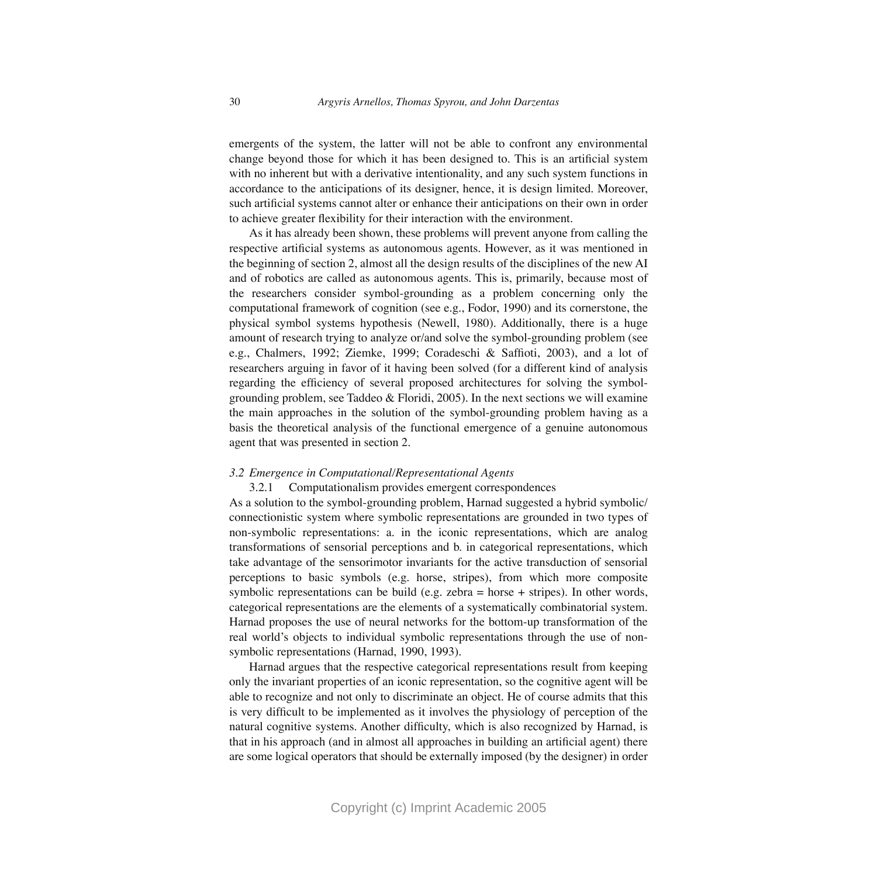emergents of the system, the latter will not be able to confront any environmental change beyond those for which it has been designed to. This is an artificial system with no inherent but with a derivative intentionality, and any such system functions in accordance to the anticipations of its designer, hence, it is design limited. Moreover, such artificial systems cannot alter or enhance their anticipations on their own in order to achieve greater flexibility for their interaction with the environment.

As it has already been shown, these problems will prevent anyone from calling the respective artificial systems as autonomous agents. However, as it was mentioned in the beginning of section 2, almost all the design results of the disciplines of the new AI and of robotics are called as autonomous agents. This is, primarily, because most of the researchers consider symbol-grounding as a problem concerning only the computational framework of cognition (see e.g., Fodor, 1990) and its cornerstone, the physical symbol systems hypothesis (Newell, 1980). Additionally, there is a huge amount of research trying to analyze or/and solve the symbol-grounding problem (see e.g., Chalmers, 1992; Ziemke, 1999; Coradeschi & Saffioti, 2003), and a lot of researchers arguing in favor of it having been solved (for a different kind of analysis regarding the efficiency of several proposed architectures for solving the symbolgrounding problem, see Taddeo & Floridi, 2005). In the next sections we will examine the main approaches in the solution of the symbol-grounding problem having as a basis the theoretical analysis of the functional emergence of a genuine autonomous agent that was presented in section 2.

#### *3.2 Emergence in Computational/Representational Agents*

## 3.2.1 Computationalism provides emergent correspondences

As a solution to the symbol-grounding problem, Harnad suggested a hybrid symbolic/ connectionistic system where symbolic representations are grounded in two types of non-symbolic representations: a. in the iconic representations, which are analog transformations of sensorial perceptions and b. in categorical representations, which take advantage of the sensorimotor invariants for the active transduction of sensorial perceptions to basic symbols (e.g. horse, stripes), from which more composite symbolic representations can be build (e.g. zebra = horse + stripes). In other words, categorical representations are the elements of a systematically combinatorial system. Harnad proposes the use of neural networks for the bottom-up transformation of the real world's objects to individual symbolic representations through the use of nonsymbolic representations (Harnad, 1990, 1993).

Harnad argues that the respective categorical representations result from keeping only the invariant properties of an iconic representation, so the cognitive agent will be able to recognize and not only to discriminate an object. He of course admits that this is very difficult to be implemented as it involves the physiology of perception of the natural cognitive systems. Another difficulty, which is also recognized by Harnad, is that in his approach (and in almost all approaches in building an artificial agent) there are some logical operators that should be externally imposed (by the designer) in order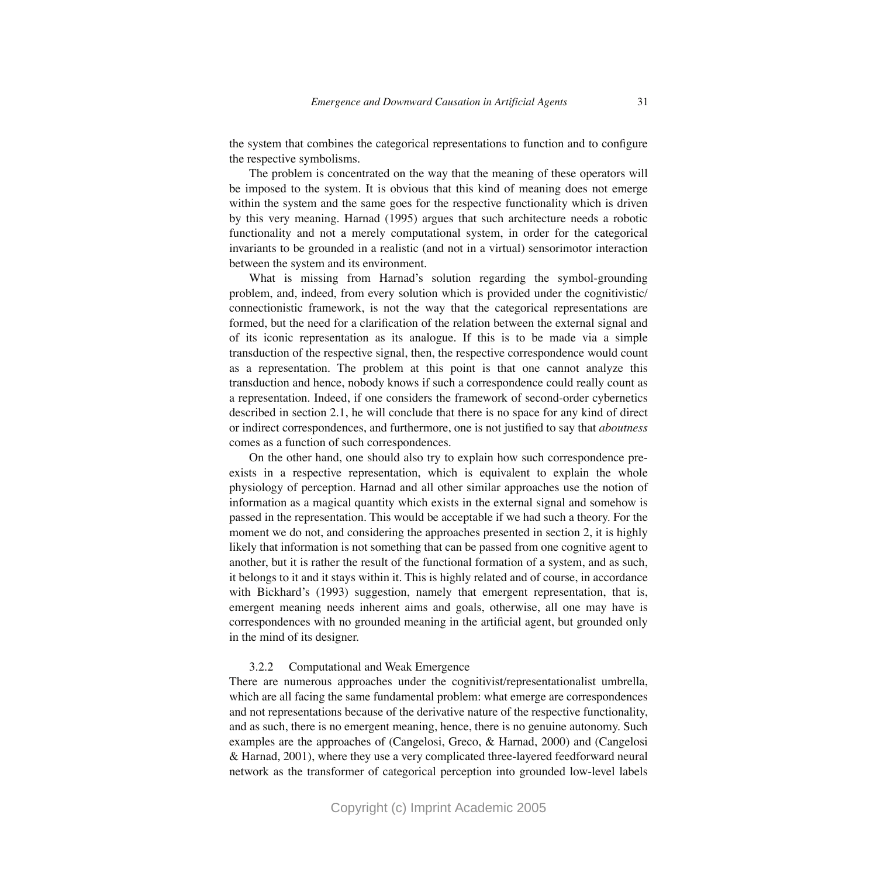the system that combines the categorical representations to function and to configure the respective symbolisms.

The problem is concentrated on the way that the meaning of these operators will be imposed to the system. It is obvious that this kind of meaning does not emerge within the system and the same goes for the respective functionality which is driven by this very meaning. Harnad (1995) argues that such architecture needs a robotic functionality and not a merely computational system, in order for the categorical invariants to be grounded in a realistic (and not in a virtual) sensorimotor interaction between the system and its environment.

What is missing from Harnad's solution regarding the symbol-grounding problem, and, indeed, from every solution which is provided under the cognitivistic/ connectionistic framework, is not the way that the categorical representations are formed, but the need for a clarification of the relation between the external signal and of its iconic representation as its analogue. If this is to be made via a simple transduction of the respective signal, then, the respective correspondence would count as a representation. The problem at this point is that one cannot analyze this transduction and hence, nobody knows if such a correspondence could really count as a representation. Indeed, if one considers the framework of second-order cybernetics described in section 2.1, he will conclude that there is no space for any kind of direct or indirect correspondences, and furthermore, one is not justified to say that *aboutness* comes as a function of such correspondences.

On the other hand, one should also try to explain how such correspondence preexists in a respective representation, which is equivalent to explain the whole physiology of perception. Harnad and all other similar approaches use the notion of information as a magical quantity which exists in the external signal and somehow is passed in the representation. This would be acceptable if we had such a theory. For the moment we do not, and considering the approaches presented in section 2, it is highly likely that information is not something that can be passed from one cognitive agent to another, but it is rather the result of the functional formation of a system, and as such, it belongs to it and it stays within it. This is highly related and of course, in accordance with Bickhard's (1993) suggestion, namely that emergent representation, that is, emergent meaning needs inherent aims and goals, otherwise, all one may have is correspondences with no grounded meaning in the artificial agent, but grounded only in the mind of its designer.

#### 3.2.2 Computational and Weak Emergence

There are numerous approaches under the cognitivist/representationalist umbrella, which are all facing the same fundamental problem: what emerge are correspondences and not representations because of the derivative nature of the respective functionality, and as such, there is no emergent meaning, hence, there is no genuine autonomy. Such examples are the approaches of (Cangelosi, Greco, & Harnad, 2000) and (Cangelosi & Harnad, 2001), where they use a very complicated three-layered feedforward neural network as the transformer of categorical perception into grounded low-level labels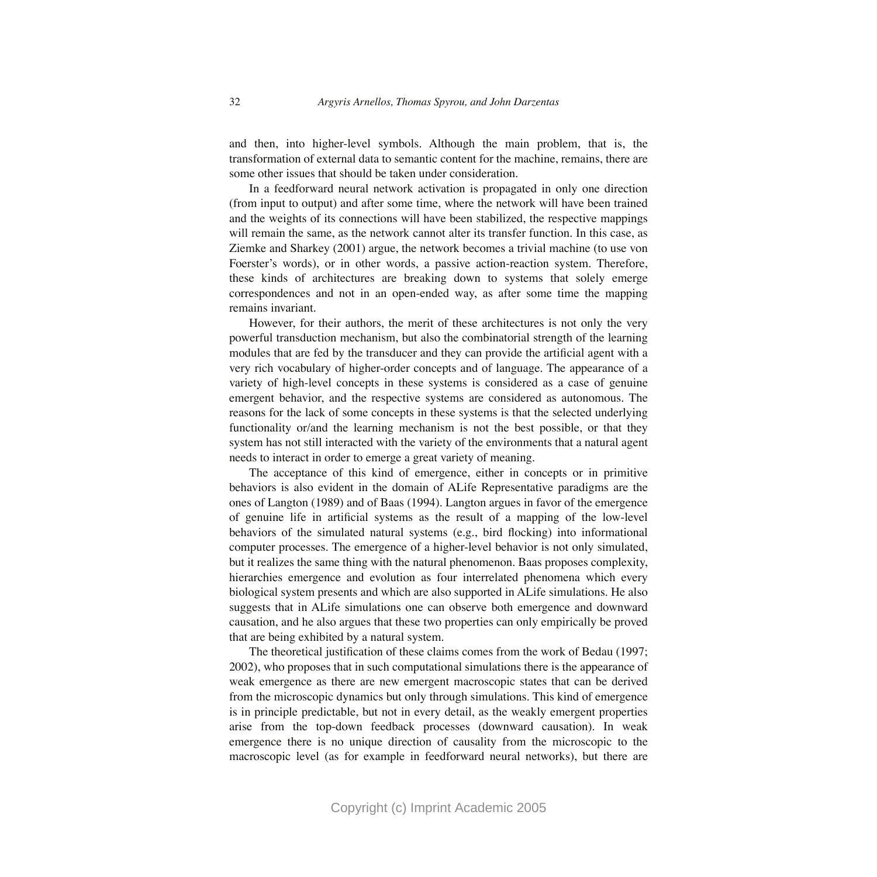and then, into higher-level symbols. Although the main problem, that is, the transformation of external data to semantic content for the machine, remains, there are some other issues that should be taken under consideration.

In a feedforward neural network activation is propagated in only one direction (from input to output) and after some time, where the network will have been trained and the weights of its connections will have been stabilized, the respective mappings will remain the same, as the network cannot alter its transfer function. In this case, as Ziemke and Sharkey (2001) argue, the network becomes a trivial machine (to use von Foerster's words), or in other words, a passive action-reaction system. Therefore, these kinds of architectures are breaking down to systems that solely emerge correspondences and not in an open-ended way, as after some time the mapping remains invariant.

However, for their authors, the merit of these architectures is not only the very powerful transduction mechanism, but also the combinatorial strength of the learning modules that are fed by the transducer and they can provide the artificial agent with a very rich vocabulary of higher-order concepts and of language. The appearance of a variety of high-level concepts in these systems is considered as a case of genuine emergent behavior, and the respective systems are considered as autonomous. The reasons for the lack of some concepts in these systems is that the selected underlying functionality or/and the learning mechanism is not the best possible, or that they system has not still interacted with the variety of the environments that a natural agent needs to interact in order to emerge a great variety of meaning.

The acceptance of this kind of emergence, either in concepts or in primitive behaviors is also evident in the domain of ALife Representative paradigms are the ones of Langton (1989) and of Baas (1994). Langton argues in favor of the emergence of genuine life in artificial systems as the result of a mapping of the low-level behaviors of the simulated natural systems (e.g., bird flocking) into informational computer processes. The emergence of a higher-level behavior is not only simulated, but it realizes the same thing with the natural phenomenon. Baas proposes complexity, hierarchies emergence and evolution as four interrelated phenomena which every biological system presents and which are also supported in ALife simulations. He also suggests that in ALife simulations one can observe both emergence and downward causation, and he also argues that these two properties can only empirically be proved that are being exhibited by a natural system.

The theoretical justification of these claims comes from the work of Bedau (1997; 2002), who proposes that in such computational simulations there is the appearance of weak emergence as there are new emergent macroscopic states that can be derived from the microscopic dynamics but only through simulations. This kind of emergence is in principle predictable, but not in every detail, as the weakly emergent properties arise from the top-down feedback processes (downward causation). In weak emergence there is no unique direction of causality from the microscopic to the macroscopic level (as for example in feedforward neural networks), but there are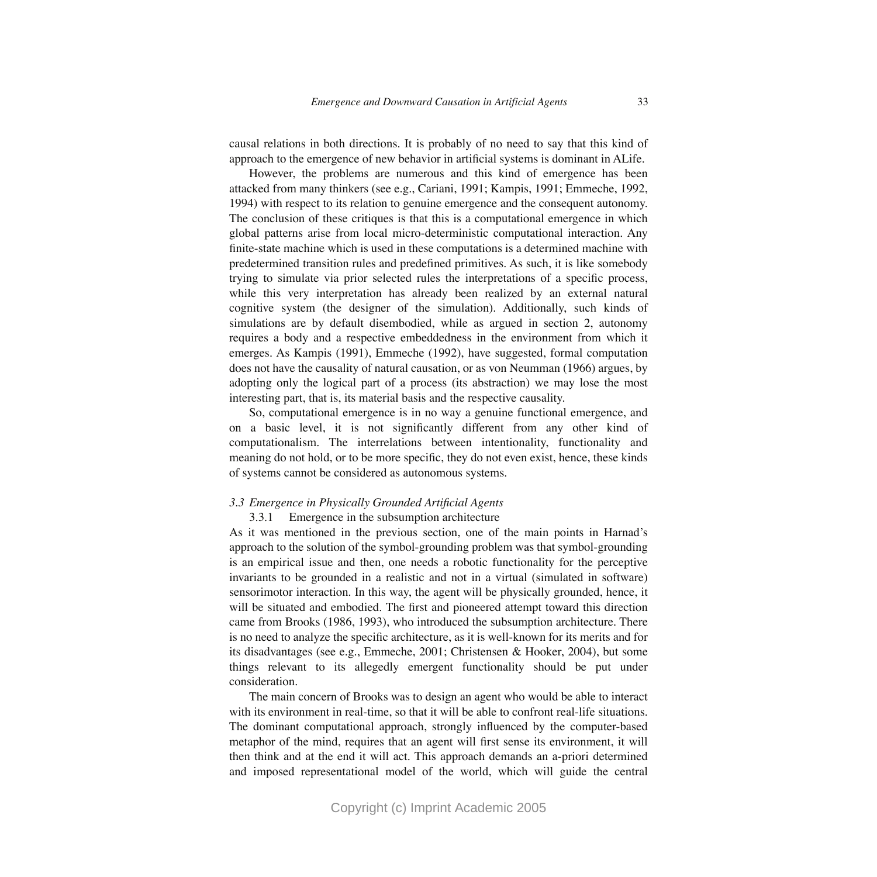causal relations in both directions. It is probably of no need to say that this kind of approach to the emergence of new behavior in artificial systems is dominant in ALife.

However, the problems are numerous and this kind of emergence has been attacked from many thinkers (see e.g., Cariani, 1991; Kampis, 1991; Emmeche, 1992, 1994) with respect to its relation to genuine emergence and the consequent autonomy. The conclusion of these critiques is that this is a computational emergence in which global patterns arise from local micro-deterministic computational interaction. Any finite-state machine which is used in these computations is a determined machine with predetermined transition rules and predefined primitives. As such, it is like somebody trying to simulate via prior selected rules the interpretations of a specific process, while this very interpretation has already been realized by an external natural cognitive system (the designer of the simulation). Additionally, such kinds of simulations are by default disembodied, while as argued in section 2, autonomy requires a body and a respective embeddedness in the environment from which it emerges. As Kampis (1991), Emmeche (1992), have suggested, formal computation does not have the causality of natural causation, or as von Neumman (1966) argues, by adopting only the logical part of a process (its abstraction) we may lose the most interesting part, that is, its material basis and the respective causality.

So, computational emergence is in no way a genuine functional emergence, and on a basic level, it is not significantly different from any other kind of computationalism. The interrelations between intentionality, functionality and meaning do not hold, or to be more specific, they do not even exist, hence, these kinds of systems cannot be considered as autonomous systems.

## *3.3 Emergence in Physically Grounded Artificial Agents*

3.3.1 Emergence in the subsumption architecture

As it was mentioned in the previous section, one of the main points in Harnad's approach to the solution of the symbol-grounding problem was that symbol-grounding is an empirical issue and then, one needs a robotic functionality for the perceptive invariants to be grounded in a realistic and not in a virtual (simulated in software) sensorimotor interaction. In this way, the agent will be physically grounded, hence, it will be situated and embodied. The first and pioneered attempt toward this direction came from Brooks (1986, 1993), who introduced the subsumption architecture. There is no need to analyze the specific architecture, as it is well-known for its merits and for its disadvantages (see e.g., Emmeche, 2001; Christensen & Hooker, 2004), but some things relevant to its allegedly emergent functionality should be put under consideration.

The main concern of Brooks was to design an agent who would be able to interact with its environment in real-time, so that it will be able to confront real-life situations. The dominant computational approach, strongly influenced by the computer-based metaphor of the mind, requires that an agent will first sense its environment, it will then think and at the end it will act. This approach demands an a-priori determined and imposed representational model of the world, which will guide the central

Copyright (c) Imprint Academic 2005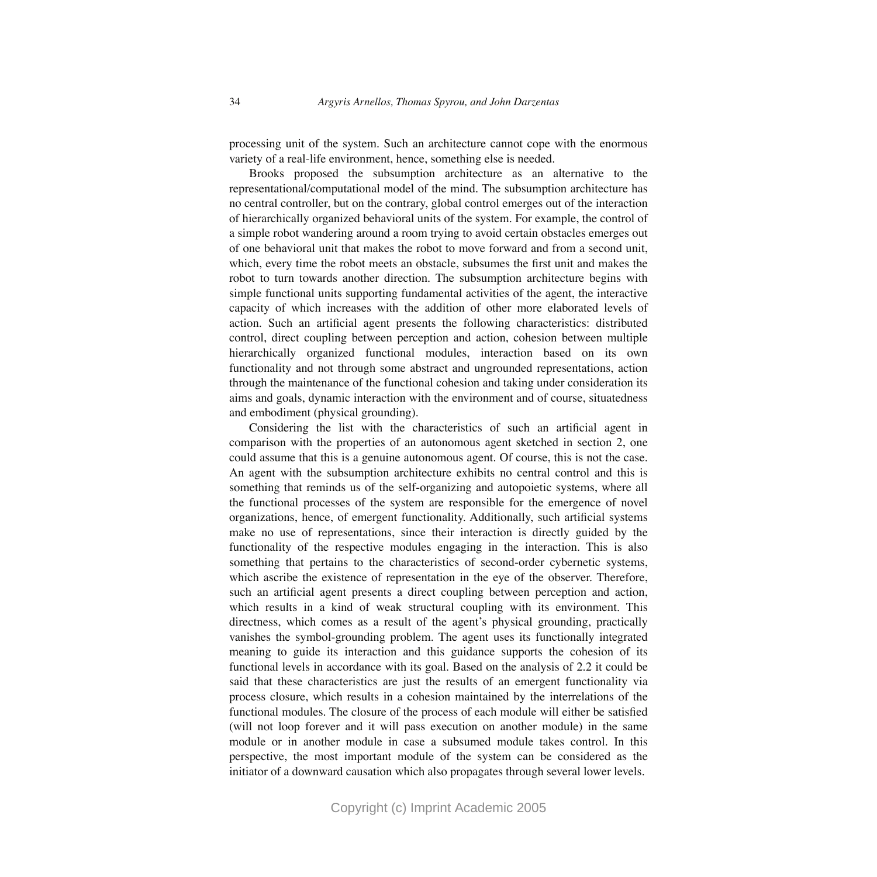processing unit of the system. Such an architecture cannot cope with the enormous variety of a real-life environment, hence, something else is needed.

Brooks proposed the subsumption architecture as an alternative to the representational/computational model of the mind. The subsumption architecture has no central controller, but on the contrary, global control emerges out of the interaction of hierarchically organized behavioral units of the system. For example, the control of a simple robot wandering around a room trying to avoid certain obstacles emerges out of one behavioral unit that makes the robot to move forward and from a second unit, which, every time the robot meets an obstacle, subsumes the first unit and makes the robot to turn towards another direction. The subsumption architecture begins with simple functional units supporting fundamental activities of the agent, the interactive capacity of which increases with the addition of other more elaborated levels of action. Such an artificial agent presents the following characteristics: distributed control, direct coupling between perception and action, cohesion between multiple hierarchically organized functional modules, interaction based on its own functionality and not through some abstract and ungrounded representations, action through the maintenance of the functional cohesion and taking under consideration its aims and goals, dynamic interaction with the environment and of course, situatedness and embodiment (physical grounding).

Considering the list with the characteristics of such an artificial agent in comparison with the properties of an autonomous agent sketched in section 2, one could assume that this is a genuine autonomous agent. Of course, this is not the case. An agent with the subsumption architecture exhibits no central control and this is something that reminds us of the self-organizing and autopoietic systems, where all the functional processes of the system are responsible for the emergence of novel organizations, hence, of emergent functionality. Additionally, such artificial systems make no use of representations, since their interaction is directly guided by the functionality of the respective modules engaging in the interaction. This is also something that pertains to the characteristics of second-order cybernetic systems, which ascribe the existence of representation in the eye of the observer. Therefore, such an artificial agent presents a direct coupling between perception and action, which results in a kind of weak structural coupling with its environment. This directness, which comes as a result of the agent's physical grounding, practically vanishes the symbol-grounding problem. The agent uses its functionally integrated meaning to guide its interaction and this guidance supports the cohesion of its functional levels in accordance with its goal. Based on the analysis of 2.2 it could be said that these characteristics are just the results of an emergent functionality via process closure, which results in a cohesion maintained by the interrelations of the functional modules. The closure of the process of each module will either be satisfied (will not loop forever and it will pass execution on another module) in the same module or in another module in case a subsumed module takes control. In this perspective, the most important module of the system can be considered as the initiator of a downward causation which also propagates through several lower levels.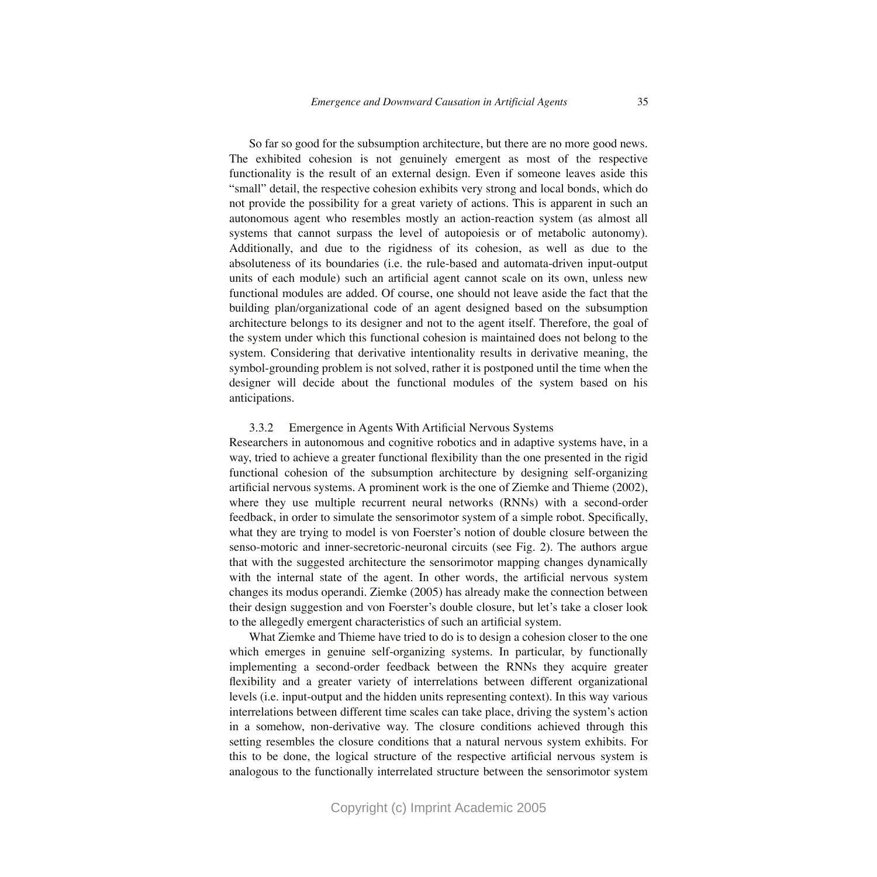So far so good for the subsumption architecture, but there are no more good news. The exhibited cohesion is not genuinely emergent as most of the respective functionality is the result of an external design. Even if someone leaves aside this "small" detail, the respective cohesion exhibits very strong and local bonds, which do not provide the possibility for a great variety of actions. This is apparent in such an autonomous agent who resembles mostly an action-reaction system (as almost all systems that cannot surpass the level of autopoiesis or of metabolic autonomy). Additionally, and due to the rigidness of its cohesion, as well as due to the absoluteness of its boundaries (i.e. the rule-based and automata-driven input-output units of each module) such an artificial agent cannot scale on its own, unless new functional modules are added. Of course, one should not leave aside the fact that the building plan/organizational code of an agent designed based on the subsumption architecture belongs to its designer and not to the agent itself. Therefore, the goal of the system under which this functional cohesion is maintained does not belong to the system. Considering that derivative intentionality results in derivative meaning, the symbol-grounding problem is not solved, rather it is postponed until the time when the designer will decide about the functional modules of the system based on his anticipations.

#### 3.3.2 Emergence in Agents With Artificial Nervous Systems

Researchers in autonomous and cognitive robotics and in adaptive systems have, in a way, tried to achieve a greater functional flexibility than the one presented in the rigid functional cohesion of the subsumption architecture by designing self-organizing artificial nervous systems. A prominent work is the one of Ziemke and Thieme (2002), where they use multiple recurrent neural networks (RNNs) with a second-order feedback, in order to simulate the sensorimotor system of a simple robot. Specifically, what they are trying to model is von Foerster's notion of double closure between the senso-motoric and inner-secretoric-neuronal circuits (see Fig. 2). The authors argue that with the suggested architecture the sensorimotor mapping changes dynamically with the internal state of the agent. In other words, the artificial nervous system changes its modus operandi. Ziemke (2005) has already make the connection between their design suggestion and von Foerster's double closure, but let's take a closer look to the allegedly emergent characteristics of such an artificial system.

What Ziemke and Thieme have tried to do is to design a cohesion closer to the one which emerges in genuine self-organizing systems. In particular, by functionally implementing a second-order feedback between the RNNs they acquire greater flexibility and a greater variety of interrelations between different organizational levels (i.e. input-output and the hidden units representing context). In this way various interrelations between different time scales can take place, driving the system's action in a somehow, non-derivative way. The closure conditions achieved through this setting resembles the closure conditions that a natural nervous system exhibits. For this to be done, the logical structure of the respective artificial nervous system is analogous to the functionally interrelated structure between the sensorimotor system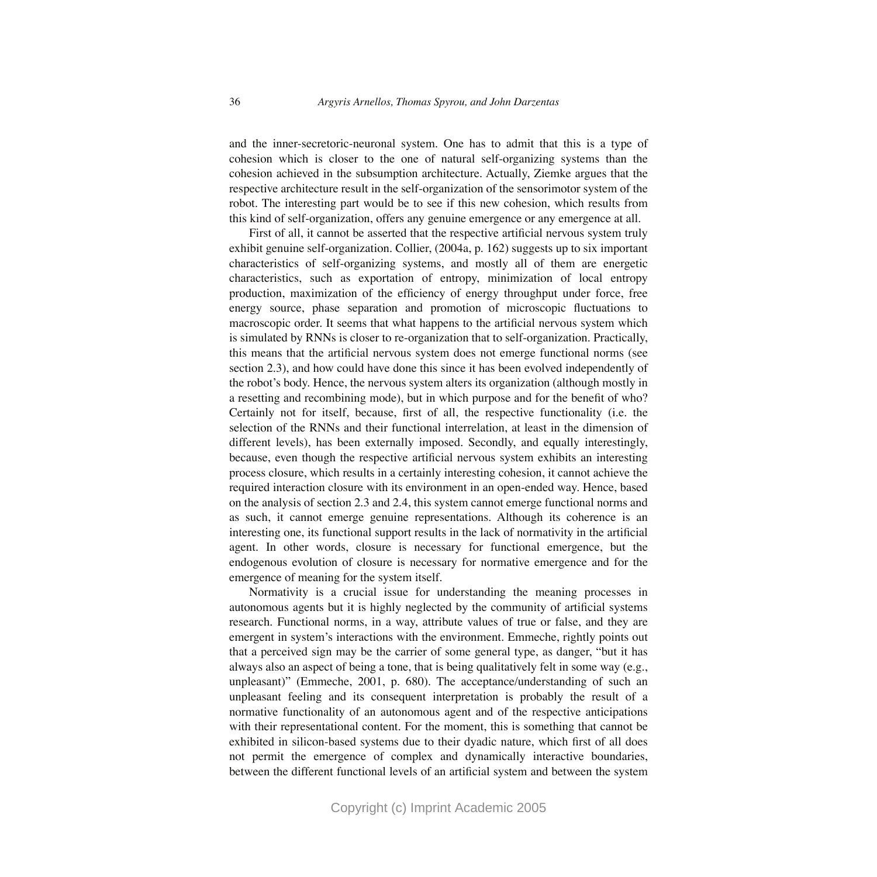and the inner-secretoric-neuronal system. One has to admit that this is a type of cohesion which is closer to the one of natural self-organizing systems than the cohesion achieved in the subsumption architecture. Actually, Ziemke argues that the respective architecture result in the self-organization of the sensorimotor system of the robot. The interesting part would be to see if this new cohesion, which results from this kind of self-organization, offers any genuine emergence or any emergence at all.

First of all, it cannot be asserted that the respective artificial nervous system truly exhibit genuine self-organization. Collier, (2004a, p. 162) suggests up to six important characteristics of self-organizing systems, and mostly all of them are energetic characteristics, such as exportation of entropy, minimization of local entropy production, maximization of the efficiency of energy throughput under force, free energy source, phase separation and promotion of microscopic fluctuations to macroscopic order. It seems that what happens to the artificial nervous system which is simulated by RNNs is closer to re-organization that to self-organization. Practically, this means that the artificial nervous system does not emerge functional norms (see section 2.3), and how could have done this since it has been evolved independently of the robot's body. Hence, the nervous system alters its organization (although mostly in a resetting and recombining mode), but in which purpose and for the benefit of who? Certainly not for itself, because, first of all, the respective functionality (i.e. the selection of the RNNs and their functional interrelation, at least in the dimension of different levels), has been externally imposed. Secondly, and equally interestingly, because, even though the respective artificial nervous system exhibits an interesting process closure, which results in a certainly interesting cohesion, it cannot achieve the required interaction closure with its environment in an open-ended way. Hence, based on the analysis of section 2.3 and 2.4, this system cannot emerge functional norms and as such, it cannot emerge genuine representations. Although its coherence is an interesting one, its functional support results in the lack of normativity in the artificial agent. In other words, closure is necessary for functional emergence, but the endogenous evolution of closure is necessary for normative emergence and for the emergence of meaning for the system itself.

Normativity is a crucial issue for understanding the meaning processes in autonomous agents but it is highly neglected by the community of artificial systems research. Functional norms, in a way, attribute values of true or false, and they are emergent in system's interactions with the environment. Emmeche, rightly points out that a perceived sign may be the carrier of some general type, as danger, "but it has always also an aspect of being a tone, that is being qualitatively felt in some way (e.g., unpleasant)" (Emmeche, 2001, p. 680). The acceptance/understanding of such an unpleasant feeling and its consequent interpretation is probably the result of a normative functionality of an autonomous agent and of the respective anticipations with their representational content. For the moment, this is something that cannot be exhibited in silicon-based systems due to their dyadic nature, which first of all does not permit the emergence of complex and dynamically interactive boundaries, between the different functional levels of an artificial system and between the system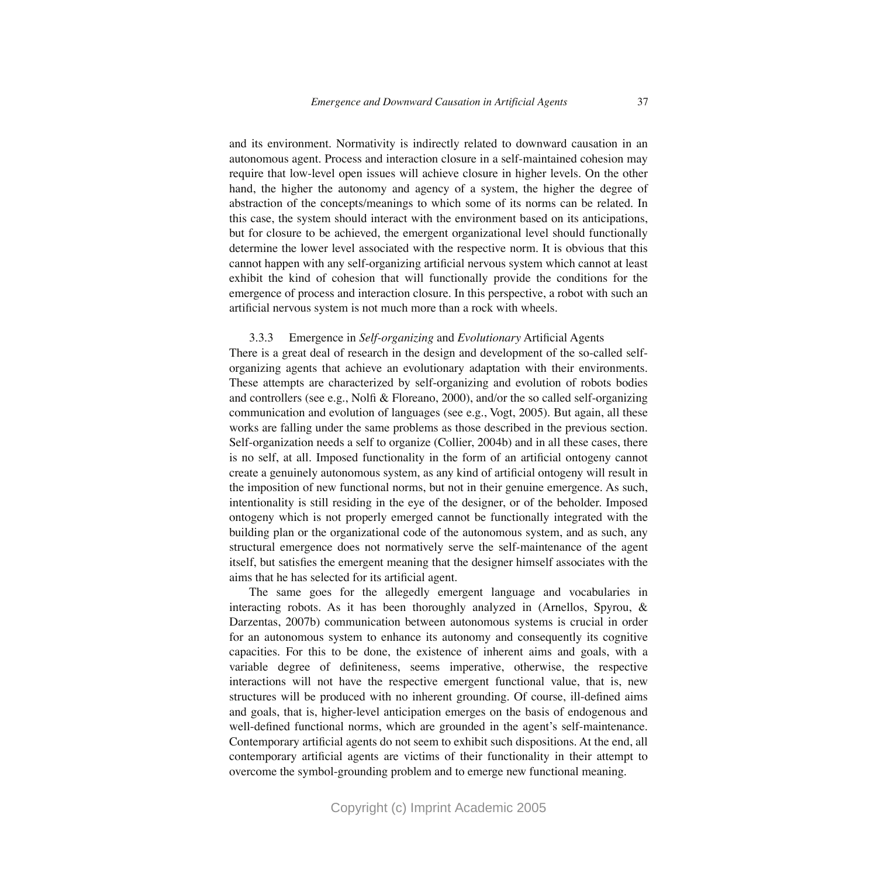and its environment. Normativity is indirectly related to downward causation in an autonomous agent. Process and interaction closure in a self-maintained cohesion may require that low-level open issues will achieve closure in higher levels. On the other hand, the higher the autonomy and agency of a system, the higher the degree of abstraction of the concepts/meanings to which some of its norms can be related. In this case, the system should interact with the environment based on its anticipations, but for closure to be achieved, the emergent organizational level should functionally determine the lower level associated with the respective norm. It is obvious that this cannot happen with any self-organizing artificial nervous system which cannot at least exhibit the kind of cohesion that will functionally provide the conditions for the emergence of process and interaction closure. In this perspective, a robot with such an artificial nervous system is not much more than a rock with wheels.

#### 3.3.3 Emergence in *Self-organizing* and *Evolutionary* Artificial Agents

There is a great deal of research in the design and development of the so-called selforganizing agents that achieve an evolutionary adaptation with their environments. These attempts are characterized by self-organizing and evolution of robots bodies and controllers (see e.g., Nolfi & Floreano, 2000), and/or the so called self-organizing communication and evolution of languages (see e.g., Vogt, 2005). But again, all these works are falling under the same problems as those described in the previous section. Self-organization needs a self to organize (Collier, 2004b) and in all these cases, there is no self, at all. Imposed functionality in the form of an artificial ontogeny cannot create a genuinely autonomous system, as any kind of artificial ontogeny will result in the imposition of new functional norms, but not in their genuine emergence. As such, intentionality is still residing in the eye of the designer, or of the beholder. Imposed ontogeny which is not properly emerged cannot be functionally integrated with the building plan or the organizational code of the autonomous system, and as such, any structural emergence does not normatively serve the self-maintenance of the agent itself, but satisfies the emergent meaning that the designer himself associates with the aims that he has selected for its artificial agent.

The same goes for the allegedly emergent language and vocabularies in interacting robots. As it has been thoroughly analyzed in (Arnellos, Spyrou, & Darzentas, 2007b) communication between autonomous systems is crucial in order for an autonomous system to enhance its autonomy and consequently its cognitive capacities. For this to be done, the existence of inherent aims and goals, with a variable degree of definiteness, seems imperative, otherwise, the respective interactions will not have the respective emergent functional value, that is, new structures will be produced with no inherent grounding. Of course, ill-defined aims and goals, that is, higher-level anticipation emerges on the basis of endogenous and well-defined functional norms, which are grounded in the agent's self-maintenance. Contemporary artificial agents do not seem to exhibit such dispositions. At the end, all contemporary artificial agents are victims of their functionality in their attempt to overcome the symbol-grounding problem and to emerge new functional meaning.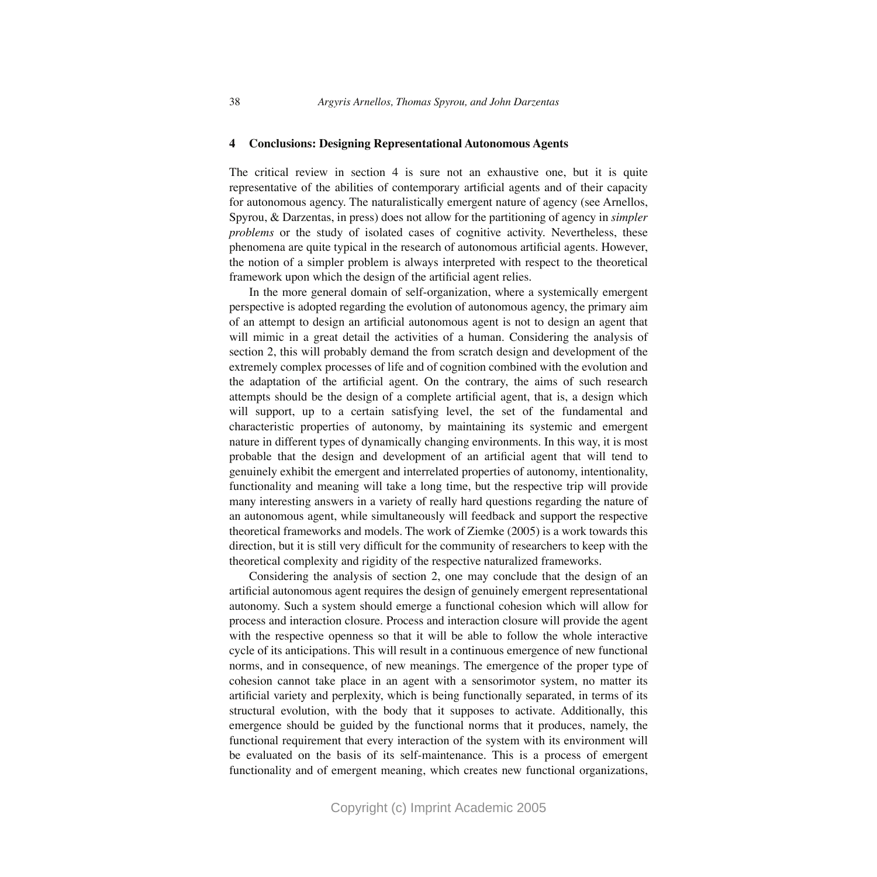#### **4 Conclusions: Designing Representational Autonomous Agents**

The critical review in section 4 is sure not an exhaustive one, but it is quite representative of the abilities of contemporary artificial agents and of their capacity for autonomous agency. The naturalistically emergent nature of agency (see Arnellos, Spyrou, & Darzentas, in press) does not allow for the partitioning of agency in *simpler problems* or the study of isolated cases of cognitive activity. Nevertheless, these phenomena are quite typical in the research of autonomous artificial agents. However, the notion of a simpler problem is always interpreted with respect to the theoretical framework upon which the design of the artificial agent relies.

In the more general domain of self-organization, where a systemically emergent perspective is adopted regarding the evolution of autonomous agency, the primary aim of an attempt to design an artificial autonomous agent is not to design an agent that will mimic in a great detail the activities of a human. Considering the analysis of section 2, this will probably demand the from scratch design and development of the extremely complex processes of life and of cognition combined with the evolution and the adaptation of the artificial agent. On the contrary, the aims of such research attempts should be the design of a complete artificial agent, that is, a design which will support, up to a certain satisfying level, the set of the fundamental and characteristic properties of autonomy, by maintaining its systemic and emergent nature in different types of dynamically changing environments. In this way, it is most probable that the design and development of an artificial agent that will tend to genuinely exhibit the emergent and interrelated properties of autonomy, intentionality, functionality and meaning will take a long time, but the respective trip will provide many interesting answers in a variety of really hard questions regarding the nature of an autonomous agent, while simultaneously will feedback and support the respective theoretical frameworks and models. The work of Ziemke (2005) is a work towards this direction, but it is still very difficult for the community of researchers to keep with the theoretical complexity and rigidity of the respective naturalized frameworks.

Considering the analysis of section 2, one may conclude that the design of an artificial autonomous agent requires the design of genuinely emergent representational autonomy. Such a system should emerge a functional cohesion which will allow for process and interaction closure. Process and interaction closure will provide the agent with the respective openness so that it will be able to follow the whole interactive cycle of its anticipations. This will result in a continuous emergence of new functional norms, and in consequence, of new meanings. The emergence of the proper type of cohesion cannot take place in an agent with a sensorimotor system, no matter its artificial variety and perplexity, which is being functionally separated, in terms of its structural evolution, with the body that it supposes to activate. Additionally, this emergence should be guided by the functional norms that it produces, namely, the functional requirement that every interaction of the system with its environment will be evaluated on the basis of its self-maintenance. This is a process of emergent functionality and of emergent meaning, which creates new functional organizations,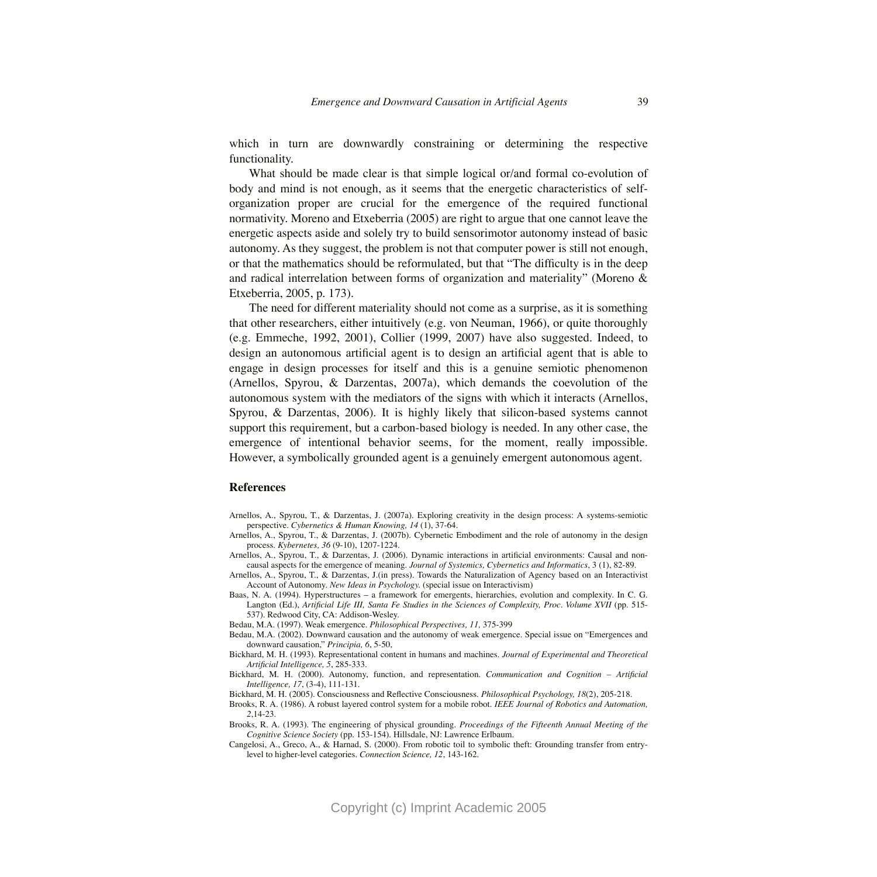which in turn are downwardly constraining or determining the respective functionality.

What should be made clear is that simple logical or/and formal co-evolution of body and mind is not enough, as it seems that the energetic characteristics of selforganization proper are crucial for the emergence of the required functional normativity. Moreno and Etxeberria (2005) are right to argue that one cannot leave the energetic aspects aside and solely try to build sensorimotor autonomy instead of basic autonomy. As they suggest, the problem is not that computer power is still not enough, or that the mathematics should be reformulated, but that "The difficulty is in the deep and radical interrelation between forms of organization and materiality" (Moreno & Etxeberria, 2005, p. 173).

The need for different materiality should not come as a surprise, as it is something that other researchers, either intuitively (e.g. von Neuman, 1966), or quite thoroughly (e.g. Emmeche, 1992, 2001), Collier (1999, 2007) have also suggested. Indeed, to design an autonomous artificial agent is to design an artificial agent that is able to engage in design processes for itself and this is a genuine semiotic phenomenon (Arnellos, Spyrou, & Darzentas, 2007a), which demands the coevolution of the autonomous system with the mediators of the signs with which it interacts (Arnellos, Spyrou, & Darzentas, 2006). It is highly likely that silicon-based systems cannot support this requirement, but a carbon-based biology is needed. In any other case, the emergence of intentional behavior seems, for the moment, really impossible. However, a symbolically grounded agent is a genuinely emergent autonomous agent.

#### **References**

- Arnellos, A., Spyrou, T., & Darzentas, J. (2007a). Exploring creativity in the design process: A systems-semiotic perspective. *Cybernetics & Human Knowing, 14* (1), 37-64.
- Arnellos, A., Spyrou, T., & Darzentas, J. (2007b). Cybernetic Embodiment and the role of autonomy in the design process. *Kybernetes, 36* (9-10), 1207-1224.
- Arnellos, A., Spyrou, T., & Darzentas, J. (2006). Dynamic interactions in artificial environments: Causal and noncausal aspects for the emergence of meaning. *Journal of Systemics, Cybernetics and Informatics*, 3 (1), 82-89.
- Arnellos, A., Spyrou, T., & Darzentas, J.(in press). Towards the Naturalization of Agency based on an Interactivist Account of Autonomy. *New Ideas in Psychology.* (special issue on Interactivism)
- Baas, N. A. (1994). Hyperstructures a framework for emergents, hierarchies, evolution and complexity. In C. G. Langton (Ed.), *Artificial Life III, Santa Fe Studies in the Sciences of Complexity, Proc. Volume XVII* (pp. 515- 537). Redwood City, CA: Addison-Wesley.

Bedau, M.A. (1997). Weak emergence. *Philosophical Perspectives, 11,* 375-399

Bedau, M.A. (2002). Downward causation and the autonomy of weak emergence. Special issue on "Emergences and downward causation," *Principia, 6*, 5-50,

- Bickhard, M. H. (1993). Representational content in humans and machines. *Journal of Experimental and Theoretical Artificial Intelligence, 5*, 285-333.
- Bickhard, M. H. (2000). Autonomy, function, and representation. *Communication and Cognition Artificial Intelligence, 17*, (3-4), 111-131.

Bickhard, M. H. (2005). Consciousness and Reflective Consciousness. *Philosophical Psychology, 18*(2), 205-218.

- Brooks, R. A. (1986). A robust layered control system for a mobile robot. *IEEE Journal of Robotics and Automation, 2*,14-23.
- Brooks, R. A. (1993). The engineering of physical grounding. *Proceedings of the Fifteenth Annual Meeting of the Cognitive Science Society* (pp. 153-154). Hillsdale, NJ: Lawrence Erlbaum.
- Cangelosi, A., Greco, A., & Harnad, S. (2000). From robotic toil to symbolic theft: Grounding transfer from entrylevel to higher-level categories. *Connection Science, 12*, 143-162.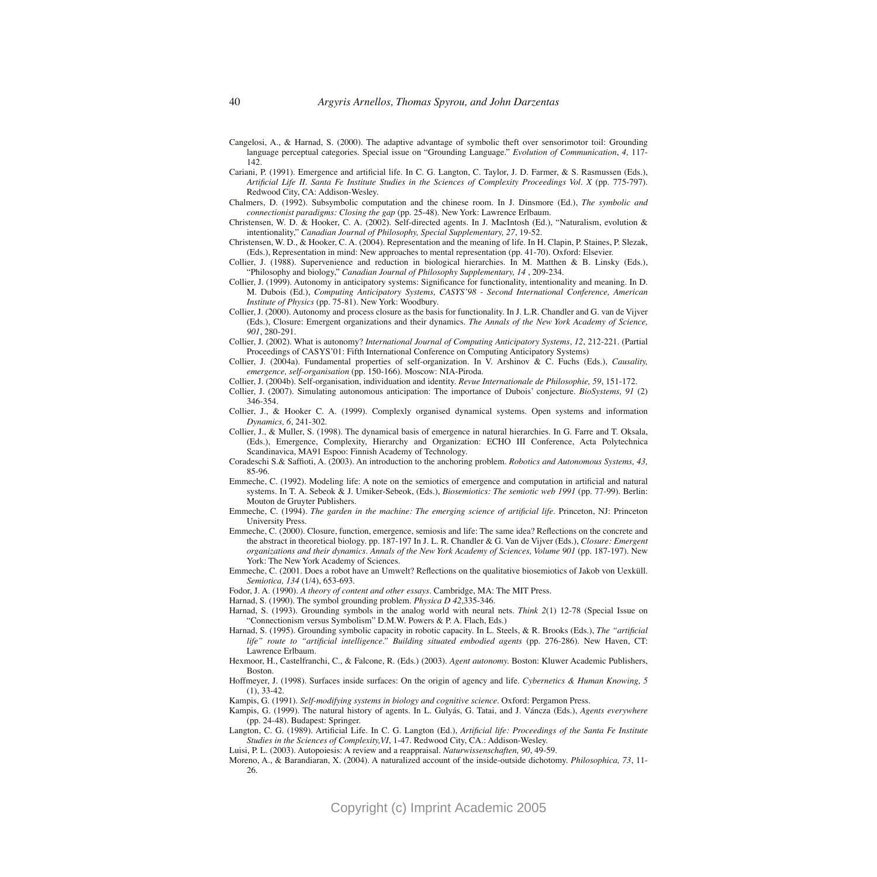- Cangelosi, A., & Harnad, S. (2000). The adaptive advantage of symbolic theft over sensorimotor toil: Grounding language perceptual categories. Special issue on "Grounding Language." *Evolution of Communication*, *4,* 117- 142.
- Cariani, P. (1991). Emergence and artificial life. In C. G. Langton, C. Taylor, J. D. Farmer, & S. Rasmussen (Eds.), *Artificial Life II. Santa Fe Institute Studies in the Sciences of Complexity Proceedings Vol. X* (pp. 775-797). Redwood City, CA: Addison-Wesley.
- Chalmers, D. (1992). Subsymbolic computation and the chinese room. In J. Dinsmore (Ed.), *The symbolic and connectionist paradigms: Closing the gap* (pp. 25-48). New York: Lawrence Erlbaum.
- Christensen, W. D. & Hooker, C. A. (2002). Self-directed agents. In J. MacIntosh (Ed.), "Naturalism, evolution & intentionality," *Canadian Journal of Philosophy, Special Supplementary, 27*, 19-52.
- Christensen, W. D., & Hooker, C. A. (2004). Representation and the meaning of life. In H. Clapin, P. Staines, P. Slezak, (Eds.), Representation in mind: New approaches to mental representation (pp. 41-70). Oxford: Elsevier.
- Collier, J. (1988). Supervenience and reduction in biological hierarchies. In M. Matthen & B. Linsky (Eds.), "Philosophy and biology," *Canadian Journal of Philosophy Supplementary, 14* , 209-234.
- Collier, J. (1999). Autonomy in anticipatory systems: Significance for functionality, intentionality and meaning. In D. M. Dubois (Ed.), *Computing Anticipatory Systems, CASYS'98 - Second International Conference, American Institute of Physics* (pp. 75-81). New York: Woodbury.
- Collier, J. (2000). Autonomy and process closure as the basis for functionality. In J. L.R. Chandler and G. van de Vijver (Eds.), Closure: Emergent organizations and their dynamics. *The Annals of the New York Academy of Science, 901*, 280-291.
- Collier, J. (2002). What is autonomy? *International Journal of Computing Anticipatory Systems*, *12*, 212-221. (Partial Proceedings of CASYS'01: Fifth International Conference on Computing Anticipatory Systems)
- Collier, J. (2004a). Fundamental properties of self-organization. In V. Arshinov & C. Fuchs (Eds.), *Causality, emergence, self-organisation* (pp. 150-166). Moscow: NIA-Piroda.
- Collier, J. (2004b). Self-organisation, individuation and identity. *Revue Internationale de Philosophie, 59*, 151-172.
- Collier, J. (2007). Simulating autonomous anticipation: The importance of Dubois' conjecture. *BioSystems, 91* (2) 346-354.
- Collier, J., & Hooker C. A. (1999). Complexly organised dynamical systems. Open systems and information *Dynamics, 6*, 241-302.
- Collier, J., & Muller, S. (1998). The dynamical basis of emergence in natural hierarchies. In G. Farre and T. Oksala, (Eds.), Emergence, Complexity, Hierarchy and Organization: ECHO III Conference, Acta Polytechnica Scandinavica, MA91 Espoo: Finnish Academy of Technology.
- Coradeschi S.& Saffioti, A. (2003). An introduction to the anchoring problem. *Robotics and Autonomous Systems, 43,* 85-96.
- Emmeche, C. (1992). Modeling life: A note on the semiotics of emergence and computation in artificial and natural systems. In T. A. Sebeok & J. Umiker-Sebeok, (Eds.), *Biosemiotics: The semiotic web 1991* (pp. 77-99). Berlin: Mouton de Gruyter Publishers.
- Emmeche, C. (1994). *The garden in the machine: The emerging science of artificial life*. Princeton, NJ: Princeton University Press.
- Emmeche, C. (2000). Closure, function, emergence, semiosis and life: The same idea? Reflections on the concrete and the abstract in theoretical biology. pp. 187-197 In J. L. R. Chandler & G. Van de Vijver (Eds.), *Closure: Emergent organizations and their dynamics. Annals of the New York Academy of Sciences, Volume 901* (pp. 187-197). New York: The New York Academy of Sciences.
- Emmeche, C. (2001. Does a robot have an Umwelt? Reflections on the qualitative biosemiotics of Jakob von Uexküll. *Semiotica, 134* (1/4), 653-693.
- Fodor, J. A. (1990). *A theory of content and other essays*. Cambridge, MA: The MIT Press.
- Harnad, S. (1990). The symbol grounding problem. *Physica D 42*,335-346.
- Harnad, S. (1993). Grounding symbols in the analog world with neural nets. *Think 2*(1) 12-78 (Special Issue on "Connectionism versus Symbolism" D.M.W. Powers & P. A. Flach, Eds.)
- Harnad, S. (1995). Grounding symbolic capacity in robotic capacity. In L. Steels, & R. Brooks (Eds.), *The "artificial life" route to "artificial intelligence." Building situated embodied agents* (pp. 276-286). New Haven, CT: Lawrence Erlbaum.
- Hexmoor, H., Castelfranchi, C., & Falcone, R. (Eds.) (2003). *Agent autonomy*. Boston: Kluwer Academic Publishers, Boston.
- Hoffmeyer, J. (1998). Surfaces inside surfaces: On the origin of agency and life. *Cybernetics & Human Knowing, 5* (1), 33-42.
- Kampis, G. (1991). *Self-modifying systems in biology and cognitive science.* Oxford: Pergamon Press.
- Kampis, G. (1999). The natural history of agents. In L. Gulyás, G. Tatai, and J. Váncza (Eds.), *Agents everywhere* (pp. 24-48). Budapest: Springer.
- Langton, C. G. (1989). Artificial Life. In C. G. Langton (Ed.), *Artificial life: Proceedings of the Santa Fe Institute Studies in the Sciences of Complexity,VI*, 1-47. Redwood City, CA.: Addison-Wesley.
- Luisi, P. L. (2003). Autopoiesis: A review and a reappraisal. *Naturwissenschaften, 90*, 49-59.
- Moreno, A., & Barandiaran, X. (2004). A naturalized account of the inside-outside dichotomy. *Philosophica, 73*, 11- 26.